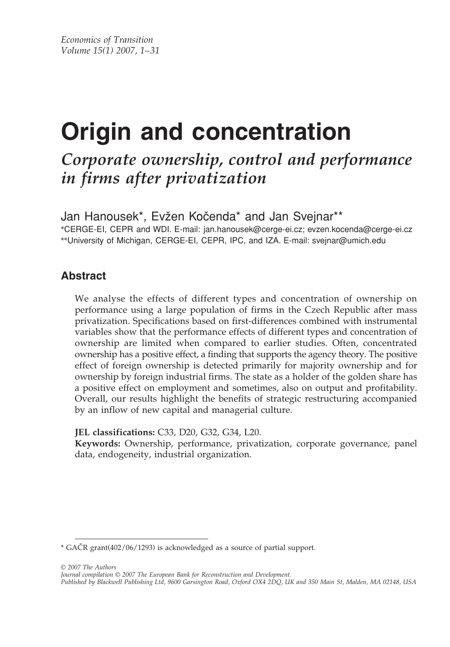# **Origin and concentration**

*Corporate ownership, control and performance in firms after privatization*

Jan Hanousek\*, Evžen Kočenda<sup>\*</sup> and Jan Svejnar\*\* \*CERGE-EI, CEPR and WDI. E-mail: jan.hanousek@cerge-ei.cz; evzen.kocenda@cerge-ei.cz \*\*University of Michigan, CERGE-EI, CEPR, IPC, and IZA. E-mail: svejnar@umich.edu

## **Abstract**

We analyse the effects of different types and concentration of ownership on performance using a large population of firms in the Czech Republic after mass privatization. Specifications based on first-differences combined with instrumental variables show that the performance effects of different types and concentration of ownership are limited when compared to earlier studies. Often, concentrated ownership has a positive effect, a finding that supports the agency theory. The positive effect of foreign ownership is detected primarily for majority ownership and for ownership by foreign industrial firms. The state as a holder of the golden share has a positive effect on employment and sometimes, also on output and profitability. Overall, our results highlight the benefits of strategic restructuring accompanied by an inflow of new capital and managerial culture.

**JEL classifications:** C33, D20, G32, G34, L20.

**Keywords:** Ownership, performance, privatization, corporate governance, panel data, endogeneity, industrial organization.

*© 2007 The Authors*

<sup>\*</sup> GACR grant(402/06/1293) is acknowledged as a source of partial support.

*Journal compilation © 2007 The European Bank for Reconstruction and Development.*

*Published by Blackwell Publishing Ltd, 9600 Garsington Road, Oxford OX4 2DQ, UK and 350 Main St, Malden, MA 02148, USA*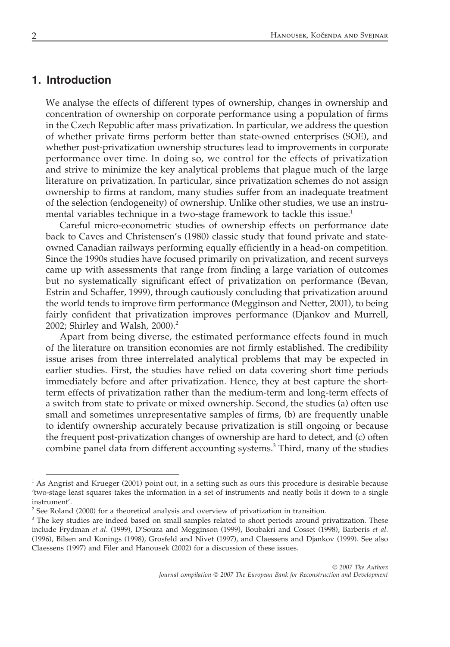#### **1. Introduction**

We analyse the effects of different types of ownership, changes in ownership and concentration of ownership on corporate performance using a population of firms in the Czech Republic after mass privatization. In particular, we address the question of whether private firms perform better than state-owned enterprises (SOE), and whether post-privatization ownership structures lead to improvements in corporate performance over time. In doing so, we control for the effects of privatization and strive to minimize the key analytical problems that plague much of the large literature on privatization. In particular, since privatization schemes do not assign ownership to firms at random, many studies suffer from an inadequate treatment of the selection (endogeneity) of ownership. Unlike other studies, we use an instrumental variables technique in a two-stage framework to tackle this issue.<sup>1</sup>

Careful micro-econometric studies of ownership effects on performance date back to Caves and Christensen's (1980) classic study that found private and stateowned Canadian railways performing equally efficiently in a head-on competition. Since the 1990s studies have focused primarily on privatization, and recent surveys came up with assessments that range from finding a large variation of outcomes but no systematically significant effect of privatization on performance (Bevan, Estrin and Schaffer, 1999), through cautiously concluding that privatization around the world tends to improve firm performance (Megginson and Netter, 2001), to being fairly confident that privatization improves performance (Djankov and Murrell, 2002; Shirley and Walsh, 2000).<sup>2</sup>

Apart from being diverse, the estimated performance effects found in much of the literature on transition economies are not firmly established. The credibility issue arises from three interrelated analytical problems that may be expected in earlier studies. First, the studies have relied on data covering short time periods immediately before and after privatization. Hence, they at best capture the shortterm effects of privatization rather than the medium-term and long-term effects of a switch from state to private or mixed ownership. Second, the studies (a) often use small and sometimes unrepresentative samples of firms, (b) are frequently unable to identify ownership accurately because privatization is still ongoing or because the frequent post-privatization changes of ownership are hard to detect, and (c) often combine panel data from different accounting systems.<sup>3</sup> Third, many of the studies

 $<sup>1</sup>$  As Angrist and Krueger (2001) point out, in a setting such as ours this procedure is desirable because</sup> 'two-stage least squares takes the information in a set of instruments and neatly boils it down to a single instrument'.

<sup>&</sup>lt;sup>2</sup> See Roland (2000) for a theoretical analysis and overview of privatization in transition.

<sup>&</sup>lt;sup>3</sup> The key studies are indeed based on small samples related to short periods around privatization. These include Frydman *et al.* (1999), D'Souza and Megginson (1999), Boubakri and Cosset (1998), Barberis *et al.* (1996), Bilsen and Konings (1998), Grosfeld and Nivet (1997), and Claessens and Djankov (1999). See also Claessens (1997) and Filer and Hanousek (2002) for a discussion of these issues.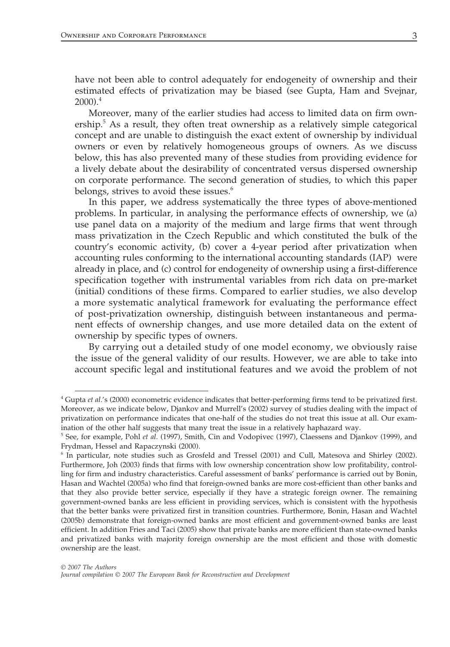have not been able to control adequately for endogeneity of ownership and their estimated effects of privatization may be biased (see Gupta, Ham and Svejnar,  $2000$ ).<sup>4</sup>

Moreover, many of the earlier studies had access to limited data on firm ownership. $5$  As a result, they often treat ownership as a relatively simple categorical concept and are unable to distinguish the exact extent of ownership by individual owners or even by relatively homogeneous groups of owners. As we discuss below, this has also prevented many of these studies from providing evidence for a lively debate about the desirability of concentrated versus dispersed ownership on corporate performance. The second generation of studies, to which this paper belongs, strives to avoid these issues.<sup>6</sup>

In this paper, we address systematically the three types of above-mentioned problems. In particular, in analysing the performance effects of ownership, we (a) use panel data on a majority of the medium and large firms that went through mass privatization in the Czech Republic and which constituted the bulk of the country's economic activity, (b) cover a 4-year period after privatization when accounting rules conforming to the international accounting standards (IAP) were already in place, and (c) control for endogeneity of ownership using a first-difference specification together with instrumental variables from rich data on pre-market (initial) conditions of these firms. Compared to earlier studies, we also develop a more systematic analytical framework for evaluating the performance effect of post-privatization ownership, distinguish between instantaneous and permanent effects of ownership changes, and use more detailed data on the extent of ownership by specific types of owners.

By carrying out a detailed study of one model economy, we obviously raise the issue of the general validity of our results. However, we are able to take into account specific legal and institutional features and we avoid the problem of not

<sup>4</sup> Gupta *et al.*'s (2000) econometric evidence indicates that better-performing firms tend to be privatized first. Moreover, as we indicate below, Djankov and Murrell's (2002) survey of studies dealing with the impact of privatization on performance indicates that one-half of the studies do not treat this issue at all. Our examination of the other half suggests that many treat the issue in a relatively haphazard way.

<sup>5</sup> See, for example, Pohl *et al.* (1997), Smith, Cin and Vodopivec (1997), Claessens and Djankov (1999), and Frydman, Hessel and Rapaczynski (2000).

<sup>6</sup> In particular, note studies such as Grosfeld and Tressel (2001) and Cull, Matesova and Shirley (2002). Furthermore, Joh (2003) finds that firms with low ownership concentration show low profitability, controlling for firm and industry characteristics. Careful assessment of banks' performance is carried out by Bonin, Hasan and Wachtel (2005a) who find that foreign-owned banks are more cost-efficient than other banks and that they also provide better service, especially if they have a strategic foreign owner. The remaining government-owned banks are less efficient in providing services, which is consistent with the hypothesis that the better banks were privatized first in transition countries. Furthermore, Bonin, Hasan and Wachtel (2005b) demonstrate that foreign-owned banks are most efficient and government-owned banks are least efficient. In addition Fries and Taci (2005) show that private banks are more efficient than state-owned banks and privatized banks with majority foreign ownership are the most efficient and those with domestic ownership are the least.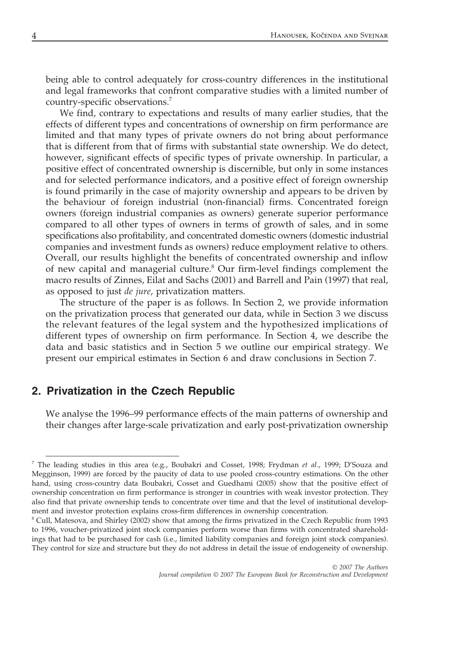being able to control adequately for cross-country differences in the institutional and legal frameworks that confront comparative studies with a limited number of country-specific observations.7

We find, contrary to expectations and results of many earlier studies, that the effects of different types and concentrations of ownership on firm performance are limited and that many types of private owners do not bring about performance that is different from that of firms with substantial state ownership. We do detect, however, significant effects of specific types of private ownership. In particular, a positive effect of concentrated ownership is discernible, but only in some instances and for selected performance indicators, and a positive effect of foreign ownership is found primarily in the case of majority ownership and appears to be driven by the behaviour of foreign industrial (non-financial) firms. Concentrated foreign owners (foreign industrial companies as owners) generate superior performance compared to all other types of owners in terms of growth of sales, and in some specifications also profitability, and concentrated domestic owners (domestic industrial companies and investment funds as owners) reduce employment relative to others. Overall, our results highlight the benefits of concentrated ownership and inflow of new capital and managerial culture.8 Our firm-level findings complement the macro results of Zinnes, Eilat and Sachs (2001) and Barrell and Pain (1997) that real, as opposed to just *de jure*, privatization matters.

The structure of the paper is as follows. In Section 2, we provide information on the privatization process that generated our data, while in Section 3 we discuss the relevant features of the legal system and the hypothesized implications of different types of ownership on firm performance. In Section 4, we describe the data and basic statistics and in Section 5 we outline our empirical strategy. We present our empirical estimates in Section 6 and draw conclusions in Section 7.

#### **2. Privatization in the Czech Republic**

We analyse the 1996–99 performance effects of the main patterns of ownership and their changes after large-scale privatization and early post-privatization ownership

<sup>7</sup> The leading studies in this area (e.g., Boubakri and Cosset, 1998; Frydman *et al.*, 1999; D'Souza and Megginson, 1999) are forced by the paucity of data to use pooled cross-country estimations. On the other hand, using cross-country data Boubakri, Cosset and Guedhami (2005) show that the positive effect of ownership concentration on firm performance is stronger in countries with weak investor protection. They also find that private ownership tends to concentrate over time and that the level of institutional development and investor protection explains cross-firm differences in ownership concentration.

<sup>8</sup> Cull, Matesova, and Shirley (2002) show that among the firms privatized in the Czech Republic from 1993 to 1996, voucher-privatized joint stock companies perform worse than firms with concentrated shareholdings that had to be purchased for cash (i.e., limited liability companies and foreign joint stock companies). They control for size and structure but they do not address in detail the issue of endogeneity of ownership.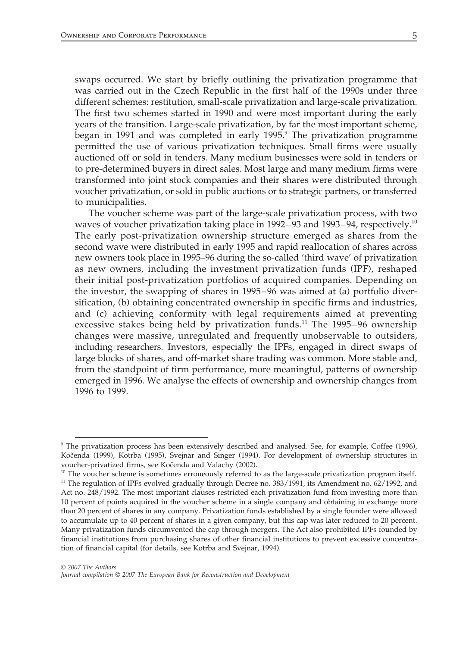swaps occurred. We start by briefly outlining the privatization programme that was carried out in the Czech Republic in the first half of the 1990s under three different schemes: restitution, small-scale privatization and large-scale privatization. The first two schemes started in 1990 and were most important during the early years of the transition. Large-scale privatization, by far the most important scheme, began in 1991 and was completed in early 1995.<sup>9</sup> The privatization programme permitted the use of various privatization techniques. Small firms were usually auctioned off or sold in tenders. Many medium businesses were sold in tenders or to pre-determined buyers in direct sales. Most large and many medium firms were transformed into joint stock companies and their shares were distributed through voucher privatization, or sold in public auctions or to strategic partners, or transferred to municipalities.

The voucher scheme was part of the large-scale privatization process, with two waves of voucher privatization taking place in 1992–93 and 1993–94, respectively.<sup>10</sup> The early post-privatization ownership structure emerged as shares from the second wave were distributed in early 1995 and rapid reallocation of shares across new owners took place in 1995–96 during the so-called 'third wave' of privatization as new owners, including the investment privatization funds (IPF), reshaped their initial post-privatization portfolios of acquired companies. Depending on the investor, the swapping of shares in 1995–96 was aimed at (a) portfolio diversification, (b) obtaining concentrated ownership in specific firms and industries, and (c) achieving conformity with legal requirements aimed at preventing excessive stakes being held by privatization funds.<sup>11</sup> The 1995–96 ownership changes were massive, unregulated and frequently unobservable to outsiders, including researchers. Investors, especially the IPFs, engaged in direct swaps of large blocks of shares, and off-market share trading was common. More stable and, from the standpoint of firm performance, more meaningful, patterns of ownership emerged in 1996. We analyse the effects of ownership and ownership changes from 1996 to 1999.

<sup>&</sup>lt;sup>9</sup> The privatization process has been extensively described and analysed. See, for example, Coffee (1996), Kocenda (1999), Kotrba (1995), Svejnar and Singer (1994). For development of ownership structures in voucher-privatized firms, see Kočenda and Valachy (2002).

 $10$  The voucher scheme is sometimes erroneously referred to as the large-scale privatization program itself.

<sup>&</sup>lt;sup>11</sup> The regulation of IPFs evolved gradually through Decree no. 383/1991, its Amendment no. 62/1992, and Act no. 248/1992. The most important clauses restricted each privatization fund from investing more than 10 percent of points acquired in the voucher scheme in a single company and obtaining in exchange more than 20 percent of shares in any company. Privatization funds established by a single founder were allowed to accumulate up to 40 percent of shares in a given company, but this cap was later reduced to 20 percent. Many privatization funds circumvented the cap through mergers. The Act also prohibited IPFs founded by financial institutions from purchasing shares of other financial institutions to prevent excessive concentration of financial capital (for details, see Kotrba and Svejnar, 1994).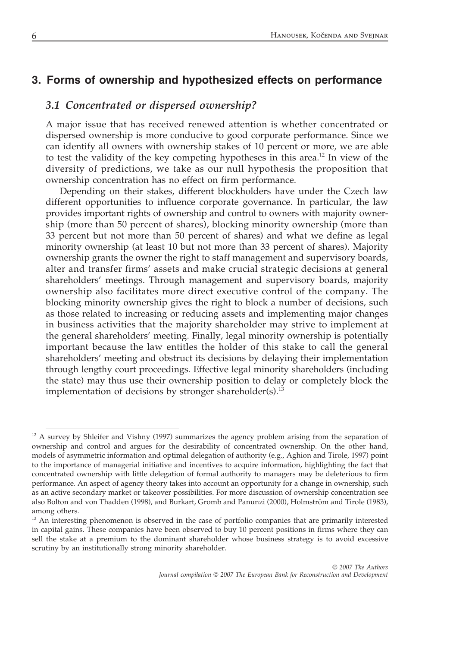#### **3. Forms of ownership and hypothesized effects on performance**

#### *3.1 Concentrated or dispersed ownership?*

A major issue that has received renewed attention is whether concentrated or dispersed ownership is more conducive to good corporate performance. Since we can identify all owners with ownership stakes of 10 percent or more, we are able to test the validity of the key competing hypotheses in this area.12 In view of the diversity of predictions, we take as our null hypothesis the proposition that ownership concentration has no effect on firm performance.

Depending on their stakes, different blockholders have under the Czech law different opportunities to influence corporate governance. In particular, the law provides important rights of ownership and control to owners with majority ownership (more than 50 percent of shares), blocking minority ownership (more than 33 percent but not more than 50 percent of shares) and what we define as legal minority ownership (at least 10 but not more than 33 percent of shares). Majority ownership grants the owner the right to staff management and supervisory boards, alter and transfer firms' assets and make crucial strategic decisions at general shareholders' meetings. Through management and supervisory boards, majority ownership also facilitates more direct executive control of the company. The blocking minority ownership gives the right to block a number of decisions, such as those related to increasing or reducing assets and implementing major changes in business activities that the majority shareholder may strive to implement at the general shareholders' meeting. Finally, legal minority ownership is potentially important because the law entitles the holder of this stake to call the general shareholders' meeting and obstruct its decisions by delaying their implementation through lengthy court proceedings. Effective legal minority shareholders (including the state) may thus use their ownership position to delay or completely block the implementation of decisions by stronger shareholder(s).<sup>13</sup>

<sup>&</sup>lt;sup>12</sup> A survey by Shleifer and Vishny (1997) summarizes the agency problem arising from the separation of ownership and control and argues for the desirability of concentrated ownership. On the other hand, models of asymmetric information and optimal delegation of authority (e.g., Aghion and Tirole, 1997) point to the importance of managerial initiative and incentives to acquire information, highlighting the fact that concentrated ownership with little delegation of formal authority to managers may be deleterious to firm performance. An aspect of agency theory takes into account an opportunity for a change in ownership, such as an active secondary market or takeover possibilities. For more discussion of ownership concentration see also Bolton and von Thadden (1998), and Burkart, Gromb and Panunzi (2000), Holmström and Tirole (1983), among others.

<sup>&</sup>lt;sup>13</sup> An interesting phenomenon is observed in the case of portfolio companies that are primarily interested in capital gains. These companies have been observed to buy 10 percent positions in firms where they can sell the stake at a premium to the dominant shareholder whose business strategy is to avoid excessive scrutiny by an institutionally strong minority shareholder.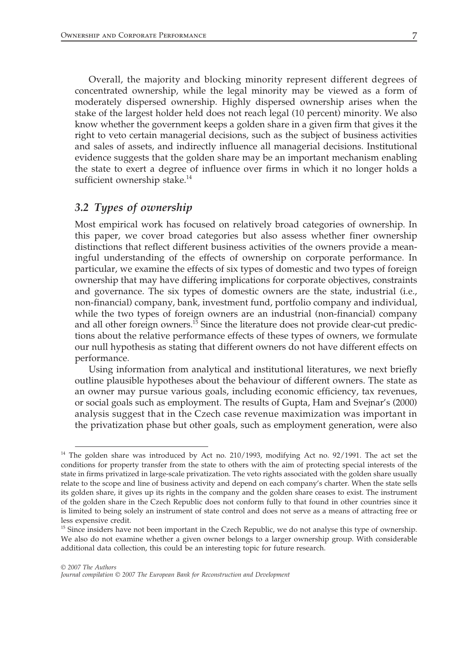Overall, the majority and blocking minority represent different degrees of concentrated ownership, while the legal minority may be viewed as a form of moderately dispersed ownership. Highly dispersed ownership arises when the stake of the largest holder held does not reach legal (10 percent) minority. We also know whether the government keeps a golden share in a given firm that gives it the right to veto certain managerial decisions, such as the subject of business activities and sales of assets, and indirectly influence all managerial decisions. Institutional evidence suggests that the golden share may be an important mechanism enabling the state to exert a degree of influence over firms in which it no longer holds a sufficient ownership stake.<sup>14</sup>

#### *3.2 Types of ownership*

Most empirical work has focused on relatively broad categories of ownership. In this paper, we cover broad categories but also assess whether finer ownership distinctions that reflect different business activities of the owners provide a meaningful understanding of the effects of ownership on corporate performance. In particular, we examine the effects of six types of domestic and two types of foreign ownership that may have differing implications for corporate objectives, constraints and governance. The six types of domestic owners are the state, industrial (i.e., non-financial) company, bank, investment fund, portfolio company and individual, while the two types of foreign owners are an industrial (non-financial) company and all other foreign owners.<sup>15</sup> Since the literature does not provide clear-cut predictions about the relative performance effects of these types of owners, we formulate our null hypothesis as stating that different owners do not have different effects on performance.

Using information from analytical and institutional literatures, we next briefly outline plausible hypotheses about the behaviour of different owners. The state as an owner may pursue various goals, including economic efficiency, tax revenues, or social goals such as employment. The results of Gupta, Ham and Svejnar's (2000) analysis suggest that in the Czech case revenue maximization was important in the privatization phase but other goals, such as employment generation, were also

<sup>&</sup>lt;sup>14</sup> The golden share was introduced by Act no. 210/1993, modifying Act no. 92/1991. The act set the conditions for property transfer from the state to others with the aim of protecting special interests of the state in firms privatized in large-scale privatization. The veto rights associated with the golden share usually relate to the scope and line of business activity and depend on each company's charter. When the state sells its golden share, it gives up its rights in the company and the golden share ceases to exist. The instrument of the golden share in the Czech Republic does not conform fully to that found in other countries since it is limited to being solely an instrument of state control and does not serve as a means of attracting free or less expensive credit.

<sup>&</sup>lt;sup>15</sup> Since insiders have not been important in the Czech Republic, we do not analyse this type of ownership. We also do not examine whether a given owner belongs to a larger ownership group. With considerable additional data collection, this could be an interesting topic for future research.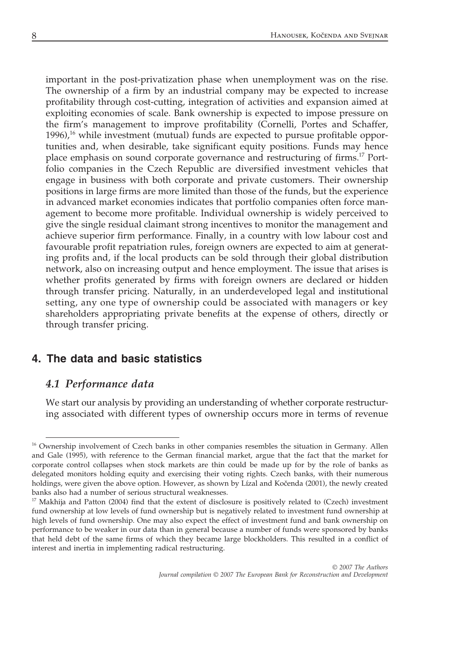important in the post-privatization phase when unemployment was on the rise. The ownership of a firm by an industrial company may be expected to increase profitability through cost-cutting, integration of activities and expansion aimed at exploiting economies of scale. Bank ownership is expected to impose pressure on the firm's management to improve profitability (Cornelli, Portes and Schaffer,  $1996$ ,<sup>16</sup> while investment (mutual) funds are expected to pursue profitable opportunities and, when desirable, take significant equity positions. Funds may hence place emphasis on sound corporate governance and restructuring of firms.<sup>17</sup> Portfolio companies in the Czech Republic are diversified investment vehicles that engage in business with both corporate and private customers. Their ownership positions in large firms are more limited than those of the funds, but the experience in advanced market economies indicates that portfolio companies often force management to become more profitable. Individual ownership is widely perceived to give the single residual claimant strong incentives to monitor the management and achieve superior firm performance. Finally, in a country with low labour cost and favourable profit repatriation rules, foreign owners are expected to aim at generating profits and, if the local products can be sold through their global distribution network, also on increasing output and hence employment. The issue that arises is whether profits generated by firms with foreign owners are declared or hidden through transfer pricing. Naturally, in an underdeveloped legal and institutional setting, any one type of ownership could be associated with managers or key shareholders appropriating private benefits at the expense of others, directly or through transfer pricing.

## **4. The data and basic statistics**

#### *4.1 Performance data*

We start our analysis by providing an understanding of whether corporate restructuring associated with different types of ownership occurs more in terms of revenue

<sup>&</sup>lt;sup>16</sup> Ownership involvement of Czech banks in other companies resembles the situation in Germany. Allen and Gale (1995), with reference to the German financial market, argue that the fact that the market for corporate control collapses when stock markets are thin could be made up for by the role of banks as delegated monitors holding equity and exercising their voting rights. Czech banks, with their numerous holdings, were given the above option. However, as shown by Lízal and Kočenda (2001), the newly created banks also had a number of serious structural weaknesses.

<sup>&</sup>lt;sup>17</sup> Makhija and Patton (2004) find that the extent of disclosure is positively related to (Czech) investment fund ownership at low levels of fund ownership but is negatively related to investment fund ownership at high levels of fund ownership. One may also expect the effect of investment fund and bank ownership on performance to be weaker in our data than in general because a number of funds were sponsored by banks that held debt of the same firms of which they became large blockholders. This resulted in a conflict of interest and inertia in implementing radical restructuring.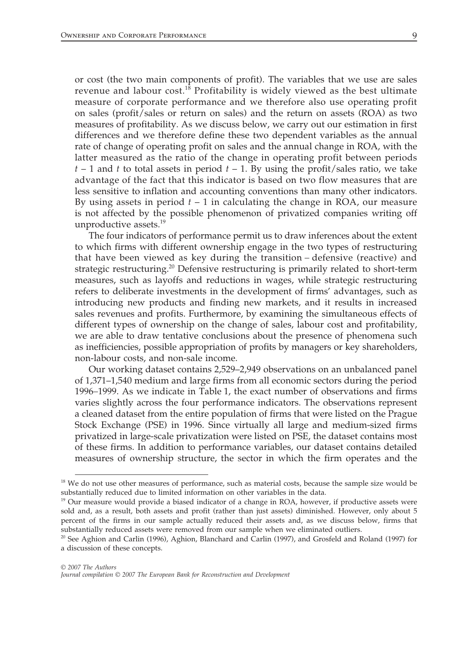or cost (the two main components of profit). The variables that we use are sales revenue and labour cost.<sup>18</sup> Profitability is widely viewed as the best ultimate measure of corporate performance and we therefore also use operating profit on sales (profit/sales or return on sales) and the return on assets (ROA) as two measures of profitability. As we discuss below, we carry out our estimation in first differences and we therefore define these two dependent variables as the annual rate of change of operating profit on sales and the annual change in ROA, with the latter measured as the ratio of the change in operating profit between periods *t* – 1 and *t* to total assets in period *t* – 1. By using the profit/sales ratio, we take advantage of the fact that this indicator is based on two flow measures that are less sensitive to inflation and accounting conventions than many other indicators. By using assets in period  $t - 1$  in calculating the change in ROA, our measure is not affected by the possible phenomenon of privatized companies writing off unproductive assets.<sup>19</sup>

The four indicators of performance permit us to draw inferences about the extent to which firms with different ownership engage in the two types of restructuring that have been viewed as key during the transition *–* defensive (reactive) and strategic restructuring.<sup>20</sup> Defensive restructuring is primarily related to short-term measures, such as layoffs and reductions in wages, while strategic restructuring refers to deliberate investments in the development of firms' advantages, such as introducing new products and finding new markets, and it results in increased sales revenues and profits. Furthermore, by examining the simultaneous effects of different types of ownership on the change of sales, labour cost and profitability, we are able to draw tentative conclusions about the presence of phenomena such as inefficiencies, possible appropriation of profits by managers or key shareholders, non-labour costs, and non-sale income.

Our working dataset contains 2,529–2,949 observations on an unbalanced panel of 1,371–1,540 medium and large firms from all economic sectors during the period 1996*–*1999. As we indicate in Table 1, the exact number of observations and firms varies slightly across the four performance indicators. The observations represent a cleaned dataset from the entire population of firms that were listed on the Prague Stock Exchange (PSE) in 1996. Since virtually all large and medium-sized firms privatized in large-scale privatization were listed on PSE, the dataset contains most of these firms. In addition to performance variables, our dataset contains detailed measures of ownership structure, the sector in which the firm operates and the

<sup>&</sup>lt;sup>18</sup> We do not use other measures of performance, such as material costs, because the sample size would be substantially reduced due to limited information on other variables in the data.

 $19$  Our measure would provide a biased indicator of a change in ROA, however, if productive assets were sold and, as a result, both assets and profit (rather than just assets) diminished. However, only about 5 percent of the firms in our sample actually reduced their assets and, as we discuss below, firms that substantially reduced assets were removed from our sample when we eliminated outliers.

 $20$  See Aghion and Carlin (1996), Aghion, Blanchard and Carlin (1997), and Grosfeld and Roland (1997) for a discussion of these concepts.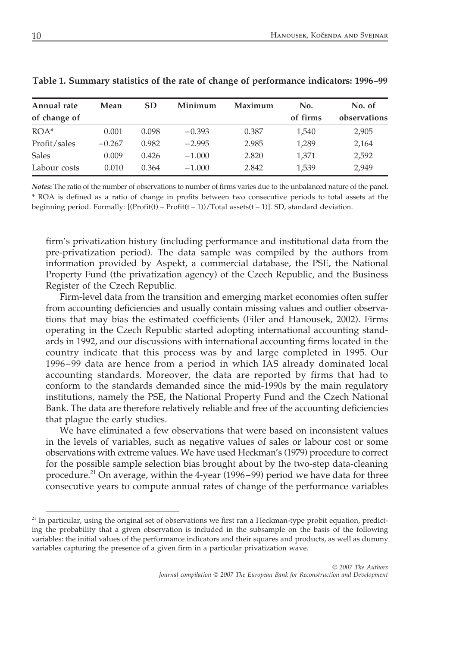| Annual rate  | Mean     | <b>SD</b> | Minimum  | Maximum | No.      | No. of       |
|--------------|----------|-----------|----------|---------|----------|--------------|
| of change of |          |           |          |         | of firms | observations |
| $ROA*$       | 0.001    | 0.098     | $-0.393$ | 0.387   | 1.540    | 2,905        |
| Profit/sales | $-0.267$ | 0.982     | $-2.995$ | 2.985   | 1,289    | 2,164        |
| <b>Sales</b> | 0.009    | 0.426     | $-1,000$ | 2.820   | 1.371    | 2,592        |
| Labour costs | 0.010    | 0.364     | $-1.000$ | 2.842   | 1,539    | 2.949        |

**Table 1. Summary statistics of the rate of change of performance indicators: 1996–99**

*Notes***:** The ratio of the number of observations to number of firms varies due to the unbalanced nature of the panel. \* ROA is defined as a ratio of change in profits between two consecutive periods to total assets at the beginning period. Formally: [(Profit(t) − Profit(t − 1))/Total assets(t − 1)]. SD, standard deviation.

firm's privatization history (including performance and institutional data from the pre-privatization period). The data sample was compiled by the authors from information provided by Aspekt, a commercial database, the PSE, the National Property Fund (the privatization agency) of the Czech Republic, and the Business Register of the Czech Republic.

Firm-level data from the transition and emerging market economies often suffer from accounting deficiencies and usually contain missing values and outlier observations that may bias the estimated coefficients (Filer and Hanousek, 2002). Firms operating in the Czech Republic started adopting international accounting standards in 1992, and our discussions with international accounting firms located in the country indicate that this process was by and large completed in 1995. Our 1996*–*99 data are hence from a period in which IAS already dominated local accounting standards. Moreover, the data are reported by firms that had to conform to the standards demanded since the mid-1990s by the main regulatory institutions, namely the PSE, the National Property Fund and the Czech National Bank. The data are therefore relatively reliable and free of the accounting deficiencies that plague the early studies.

We have eliminated a few observations that were based on inconsistent values in the levels of variables, such as negative values of sales or labour cost or some observations with extreme values. We have used Heckman's (1979) procedure to correct for the possible sample selection bias brought about by the two-step data-cleaning procedure.<sup>21</sup> On average, within the 4-year (1996–99) period we have data for three consecutive years to compute annual rates of change of the performance variables

<sup>&</sup>lt;sup>21</sup> In particular, using the original set of observations we first ran a Heckman-type probit equation, predicting the probability that a given observation is included in the subsample on the basis of the following variables: the initial values of the performance indicators and their squares and products, as well as dummy variables capturing the presence of a given firm in a particular privatization wave.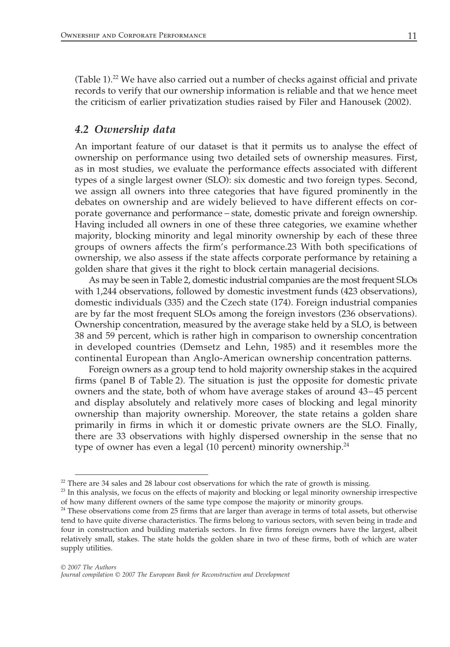(Table 1). $22$  We have also carried out a number of checks against official and private records to verify that our ownership information is reliable and that we hence meet the criticism of earlier privatization studies raised by Filer and Hanousek (2002).

#### *4.2 Ownership data*

An important feature of our dataset is that it permits us to analyse the effect of ownership on performance using two detailed sets of ownership measures. First, as in most studies, we evaluate the performance effects associated with different types of a single largest owner (SLO): six domestic and two foreign types. Second, we assign all owners into three categories that have figured prominently in the debates on ownership and are widely believed to have different effects on corporate governance and performance − state, domestic private and foreign ownership. Having included all owners in one of these three categories, we examine whether majority, blocking minority and legal minority ownership by each of these three groups of owners affects the firm's performance.23 With both specifications of ownership, we also assess if the state affects corporate performance by retaining a golden share that gives it the right to block certain managerial decisions.

As may be seen in Table 2, domestic industrial companies are the most frequent SLOs with 1,244 observations, followed by domestic investment funds (423 observations), domestic individuals (335) and the Czech state (174). Foreign industrial companies are by far the most frequent SLOs among the foreign investors (236 observations). Ownership concentration, measured by the average stake held by a SLO, is between 38 and 59 percent, which is rather high in comparison to ownership concentration in developed countries (Demsetz and Lehn, 1985) and it resembles more the continental European than Anglo-American ownership concentration patterns.

Foreign owners as a group tend to hold majority ownership stakes in the acquired firms (panel B of Table 2). The situation is just the opposite for domestic private owners and the state, both of whom have average stakes of around 43–45 percent and display absolutely and relatively more cases of blocking and legal minority ownership than majority ownership. Moreover, the state retains a golden share primarily in firms in which it or domestic private owners are the SLO. Finally, there are 33 observations with highly dispersed ownership in the sense that no type of owner has even a legal (10 percent) minority ownership. $24$ 

 $22$  There are 34 sales and 28 labour cost observations for which the rate of growth is missing.

<sup>&</sup>lt;sup>23</sup> In this analysis, we focus on the effects of majority and blocking or legal minority ownership irrespective of how many different owners of the same type compose the majority or minority groups.

<sup>&</sup>lt;sup>24</sup> These observations come from 25 firms that are larger than average in terms of total assets, but otherwise tend to have quite diverse characteristics. The firms belong to various sectors, with seven being in trade and four in construction and building materials sectors. In five firms foreign owners have the largest, albeit relatively small, stakes. The state holds the golden share in two of these firms, both of which are water supply utilities.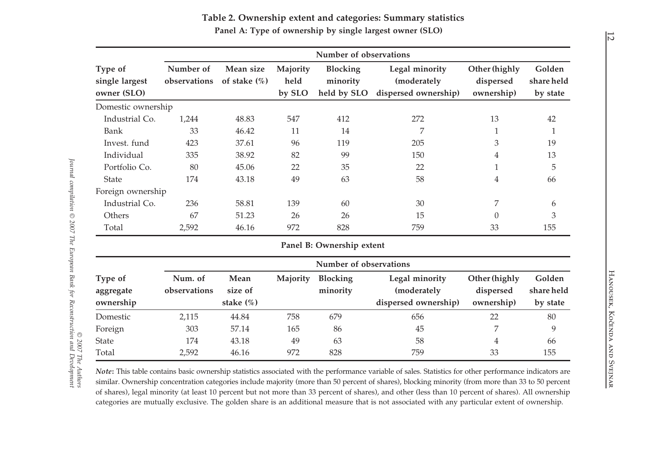|                    | Number of observations |                 |          |                           |                      |                |            |
|--------------------|------------------------|-----------------|----------|---------------------------|----------------------|----------------|------------|
| Type of            | Number of              | Mean size       | Majority | <b>Blocking</b>           | Legal minority       | Other (highly  | Golden     |
| single largest     | observations           | of stake $(\%)$ | held     | minority                  | (moderately          | dispersed      | share held |
| owner (SLO)        |                        |                 | by SLO   | held by SLO               | dispersed ownership) | ownership)     | by state   |
| Domestic ownership |                        |                 |          |                           |                      |                |            |
| Industrial Co.     | 1,244                  | 48.83           | 547      | 412                       | 272                  | 13             | 42         |
| Bank               | 33                     | 46.42           | 11       | 14                        | 7                    | 1              | 1          |
| Invest, fund       | 423                    | 37.61           | 96       | 119                       | 205                  | 3              | 19         |
| Individual         | 335                    | 38.92           | 82       | 99                        | 150                  | 4              | 13         |
| Portfolio Co.      | 80                     | 45.06           | 22       | 35                        | 22                   | 1              | 5          |
| <b>State</b>       | 174                    | 43.18           | 49       | 63                        | 58                   | $\overline{4}$ | 66         |
| Foreign ownership  |                        |                 |          |                           |                      |                |            |
| Industrial Co.     | 236                    | 58.81           | 139      | 60                        | 30                   | 7              | 6          |
| Others             | 67                     | 51.23           | 26       | 26                        | 15                   | $\Omega$       | 3          |
| Total              | 2,592                  | 46.16           | 972      | 828                       | 759                  | 33             | 155        |
|                    |                        |                 |          | Panel B: Ownership extent |                      |                |            |
|                    |                        |                 |          | Number of observations    |                      |                |            |
| Type of            | Num. of                | Mean            | Majority | <b>Blocking</b>           | Legal minority       | Other (highly  | Golden     |
| aggregate          | observations           | size of         |          | minority                  | (moderately          | dispersed      | share held |
| ownership          |                        | stake (%)       |          |                           | dispersed ownership) | ownership)     | by state   |
| Domestic           | 2,115                  | 44.84           | 758      | 679                       | 656                  | 22             | 80         |
| Foreign            | 303                    | 57.14           | 165      | 86                        | 45                   | 7              | 9          |
| <b>State</b>       | 174                    | 43.18           | 49       | 63                        | 58                   | 4              | 66         |
| Total              | 2,592                  | 46.16           | 972      | 828                       | 759                  | 33             | 155        |

*Note***:** This table contains basic ownership statistics associated with the performance variable of sales. Statistics for other performance indicators are similar. Ownership concentration categories include majority (more than 50 percent of shares), blocking minority (from more than 33 to 50 percent of shares), legal minority (at least 10 percent but not more than 33 percent of shares), and other (less than 10 percent of shares). All ownership categories are mutually exclusive. The golden share is an additional measure that is not associated with any particular extent of ownership.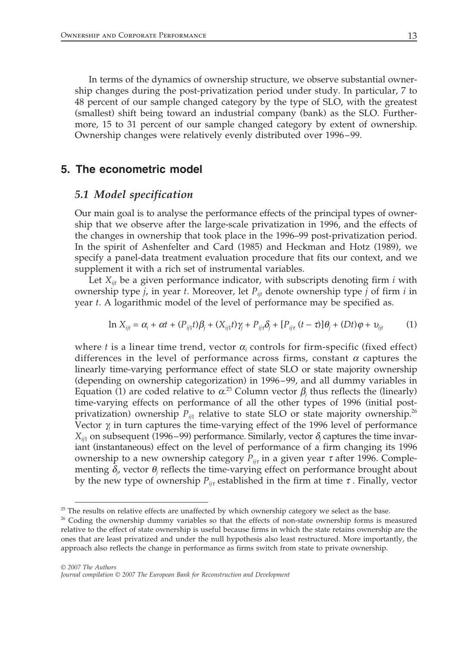In terms of the dynamics of ownership structure, we observe substantial ownership changes during the post-privatization period under study. In particular, 7 to 48 percent of our sample changed category by the type of SLO, with the greatest (smallest) shift being toward an industrial company (bank) as the SLO. Furthermore, 15 to 31 percent of our sample changed category by extent of ownership. Ownership changes were relatively evenly distributed over 1996–99.

#### **5. The econometric model**

#### *5.1 Model specification*

Our main goal is to analyse the performance effects of the principal types of ownership that we observe after the large-scale privatization in 1996, and the effects of the changes in ownership that took place in the 1996–99 post-privatization period. In the spirit of Ashenfelter and Card (1985) and Heckman and Hotz (1989), we specify a panel-data treatment evaluation procedure that fits our context, and we supplement it with a rich set of instrumental variables.

Let  $X_{ii}$  be a given performance indicator, with subscripts denoting firm  $i$  with ownership type *j*, in year *t*. Moreover, let *Pijt* denote ownership type *j* of firm *i* in year *t*. A logarithmic model of the level of performance may be specified as.

$$
\ln X_{ijt} = \alpha_i + \alpha t + (P_{ij1}t)\beta_j + (X_{ij1}t)\gamma_j + P_{ij\tau}\delta_j + [P_{ij\tau}(t-\tau)]\theta_j + (Dt)\varphi + \upsilon_{ijt} \tag{1}
$$

where  $t$  is a linear time trend, vector  $\alpha_i$  controls for firm-specific (fixed effect) differences in the level of performance across firms, constant  $\alpha$  captures the linearly time-varying performance effect of state SLO or state majority ownership (depending on ownership categorization) in 1996–99, and all dummy variables in Equation (1) are coded relative to  $\alpha$ <sup>25</sup> Column vector  $\beta_j$  thus reflects the (linearly) time-varying effects on performance of all the other types of 1996 (initial postprivatization) ownership  $P_{ii}$  relative to state SLO or state majority ownership.<sup>26</sup> Vector γ*<sup>j</sup>* in turn captures the time-varying effect of the 1996 level of performance *X<sub>ij1</sub>* on subsequent (1996–99) performance. Similarly, vector  $\delta_i$  captures the time invariant (instantaneous) effect on the level of performance of a firm changing its 1996 ownership to a new ownership category  $P_{ij}$  in a given year  $\tau$  after 1996. Complementing δ*<sup>j</sup>* , vector θ*<sup>j</sup>* reflects the time-varying effect on performance brought about by the new type of ownership  $P_{ij\tau}$  established in the firm at time  $\tau$ . Finally, vector

 $25$  The results on relative effects are unaffected by which ownership category we select as the base.

<sup>&</sup>lt;sup>26</sup> Coding the ownership dummy variables so that the effects of non-state ownership forms is measured relative to the effect of state ownership is useful because firms in which the state retains ownership are the ones that are least privatized and under the null hypothesis also least restructured. More importantly, the approach also reflects the change in performance as firms switch from state to private ownership.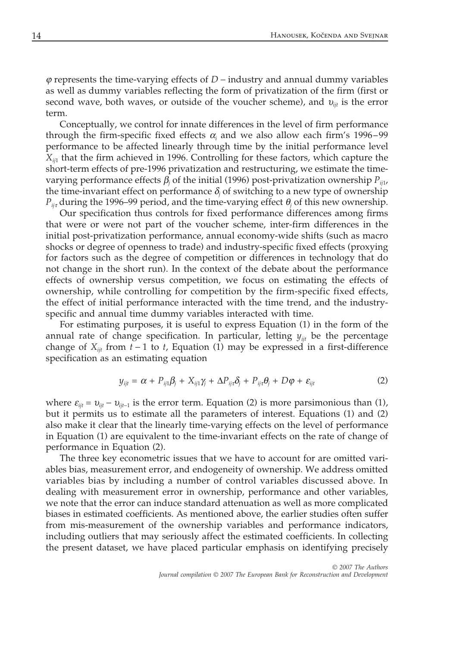$\varphi$  represents the time-varying effects of *D* − industry and annual dummy variables as well as dummy variables reflecting the form of privatization of the firm (first or second wave, both waves, or outside of the voucher scheme), and <sup>υ</sup>*ijt* is the error term.

Conceptually, we control for innate differences in the level of firm performance through the firm-specific fixed effects  $\alpha_i$  and we also allow each firm's 1996–99 performance to be affected linearly through time by the initial performance level *Xij*<sup>1</sup> that the firm achieved in 1996. Controlling for these factors, which capture the short-term effects of pre-1996 privatization and restructuring, we estimate the timevarying performance effects  $β<sub>i</sub>$  of the initial (1996) post-privatization ownership  $P<sub>ii</sub>$ , the time-invariant effect on performance  $\delta_j$  of switching to a new type of ownership  $P_{ij\tau}$  during the 1996–99 period, and the time-varying effect  $\theta_j$  of this new ownership.

Our specification thus controls for fixed performance differences among firms that were or were not part of the voucher scheme, inter-firm differences in the initial post-privatization performance, annual economy-wide shifts (such as macro shocks or degree of openness to trade) and industry-specific fixed effects (proxying for factors such as the degree of competition or differences in technology that do not change in the short run). In the context of the debate about the performance effects of ownership versus competition, we focus on estimating the effects of ownership, while controlling for competition by the firm-specific fixed effects, the effect of initial performance interacted with the time trend, and the industryspecific and annual time dummy variables interacted with time.

For estimating purposes, it is useful to express Equation (1) in the form of the annual rate of change specification. In particular, letting  $y_{\text{fit}}$  be the percentage change of *Xijt* from *t* − 1 to *t*, Equation (1) may be expressed in a first-difference specification as an estimating equation

$$
y_{ijt} = \alpha + P_{ij1}\beta_j + X_{ij1}\gamma_j + \Delta P_{ij\tau}\delta_j + P_{ij\tau}\theta_j + D\varphi + \varepsilon_{ijt}
$$
 (2)

where  $\varepsilon_{ijt} = v_{ijt} - v_{ijt-1}$  is the error term. Equation (2) is more parsimonious than (1), but it permits us to estimate all the parameters of interest. Equations (1) and (2) also make it clear that the linearly time-varying effects on the level of performance in Equation (1) are equivalent to the time-invariant effects on the rate of change of performance in Equation (2).

The three key econometric issues that we have to account for are omitted variables bias, measurement error, and endogeneity of ownership. We address omitted variables bias by including a number of control variables discussed above. In dealing with measurement error in ownership, performance and other variables, we note that the error can induce standard attenuation as well as more complicated biases in estimated coefficients. As mentioned above, the earlier studies often suffer from mis-measurement of the ownership variables and performance indicators, including outliers that may seriously affect the estimated coefficients. In collecting the present dataset, we have placed particular emphasis on identifying precisely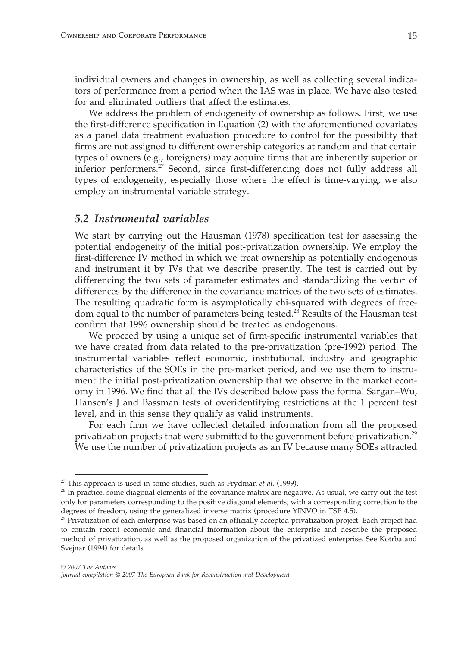individual owners and changes in ownership, as well as collecting several indicators of performance from a period when the IAS was in place. We have also tested for and eliminated outliers that affect the estimates.

We address the problem of endogeneity of ownership as follows. First, we use the first-difference specification in Equation (2) with the aforementioned covariates as a panel data treatment evaluation procedure to control for the possibility that firms are not assigned to different ownership categories at random and that certain types of owners (e.g., foreigners) may acquire firms that are inherently superior or inferior performers.<sup>27</sup> Second, since first-differencing does not fully address all types of endogeneity, especially those where the effect is time-varying, we also employ an instrumental variable strategy.

#### *5.2 Instrumental variables*

We start by carrying out the Hausman (1978) specification test for assessing the potential endogeneity of the initial post-privatization ownership. We employ the first-difference IV method in which we treat ownership as potentially endogenous and instrument it by IVs that we describe presently. The test is carried out by differencing the two sets of parameter estimates and standardizing the vector of differences by the difference in the covariance matrices of the two sets of estimates. The resulting quadratic form is asymptotically chi-squared with degrees of freedom equal to the number of parameters being tested.<sup>28</sup> Results of the Hausman test confirm that 1996 ownership should be treated as endogenous.

We proceed by using a unique set of firm-specific instrumental variables that we have created from data related to the pre-privatization (pre-1992) period. The instrumental variables reflect economic, institutional, industry and geographic characteristics of the SOEs in the pre-market period, and we use them to instrument the initial post-privatization ownership that we observe in the market economy in 1996. We find that all the IVs described below pass the formal Sargan–Wu, Hansen's J and Bassman tests of overidentifying restrictions at the 1 percent test level, and in this sense they qualify as valid instruments.

For each firm we have collected detailed information from all the proposed privatization projects that were submitted to the government before privatization.<sup>29</sup> We use the number of privatization projects as an IV because many SOEs attracted

<sup>27</sup> This approach is used in some studies, such as Frydman *et al.* (1999).

<sup>&</sup>lt;sup>28</sup> In practice, some diagonal elements of the covariance matrix are negative. As usual, we carry out the test only for parameters corresponding to the positive diagonal elements, with a corresponding correction to the degrees of freedom, using the generalized inverse matrix (procedure YINVO in TSP 4.5).

<sup>&</sup>lt;sup>29</sup> Privatization of each enterprise was based on an officially accepted privatization project. Each project had to contain recent economic and financial information about the enterprise and describe the proposed method of privatization, as well as the proposed organization of the privatized enterprise. See Kotrba and Svejnar (1994) for details.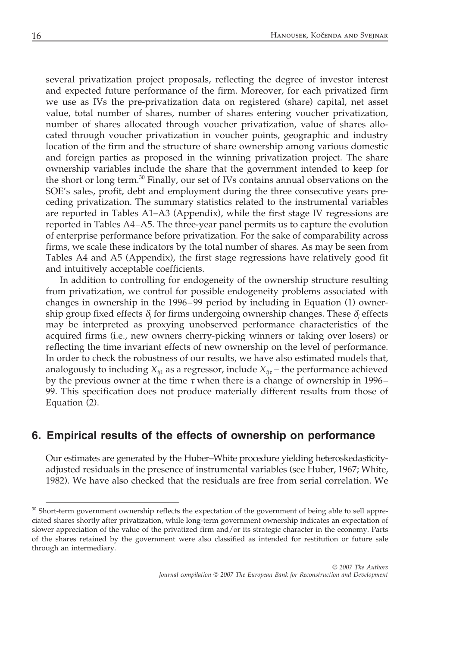several privatization project proposals, reflecting the degree of investor interest and expected future performance of the firm. Moreover, for each privatized firm we use as IVs the pre-privatization data on registered (share) capital, net asset value, total number of shares, number of shares entering voucher privatization, number of shares allocated through voucher privatization, value of shares allocated through voucher privatization in voucher points, geographic and industry location of the firm and the structure of share ownership among various domestic and foreign parties as proposed in the winning privatization project. The share ownership variables include the share that the government intended to keep for the short or long term.30 Finally, our set of IVs contains annual observations on the SOE's sales, profit, debt and employment during the three consecutive years preceding privatization. The summary statistics related to the instrumental variables are reported in Tables A1–A3 (Appendix), while the first stage IV regressions are reported in Tables A4–A5. The three-year panel permits us to capture the evolution of enterprise performance before privatization. For the sake of comparability across firms, we scale these indicators by the total number of shares. As may be seen from Tables A4 and A5 (Appendix), the first stage regressions have relatively good fit and intuitively acceptable coefficients.

In addition to controlling for endogeneity of the ownership structure resulting from privatization, we control for possible endogeneity problems associated with changes in ownership in the 1996–99 period by including in Equation (1) ownership group fixed effects  $\delta_i$  for firms undergoing ownership changes. These  $\delta_i$  effects may be interpreted as proxying unobserved performance characteristics of the acquired firms (i.e., new owners cherry-picking winners or taking over losers) or reflecting the time invariant effects of new ownership on the level of performance. In order to check the robustness of our results, we have also estimated models that, analogously to including  $X_{ij1}$  as a regressor, include  $X_{ij}$  – the performance achieved by the previous owner at the time  $\tau$  when there is a change of ownership in 1996– 99. This specification does not produce materially different results from those of Equation (2).

#### **6. Empirical results of the effects of ownership on performance**

Our estimates are generated by the Huber–White procedure yielding heteroskedasticityadjusted residuals in the presence of instrumental variables (see Huber, 1967; White, 1982). We have also checked that the residuals are free from serial correlation. We

<sup>&</sup>lt;sup>30</sup> Short-term government ownership reflects the expectation of the government of being able to sell appreciated shares shortly after privatization, while long-term government ownership indicates an expectation of slower appreciation of the value of the privatized firm and/or its strategic character in the economy. Parts of the shares retained by the government were also classified as intended for restitution or future sale through an intermediary.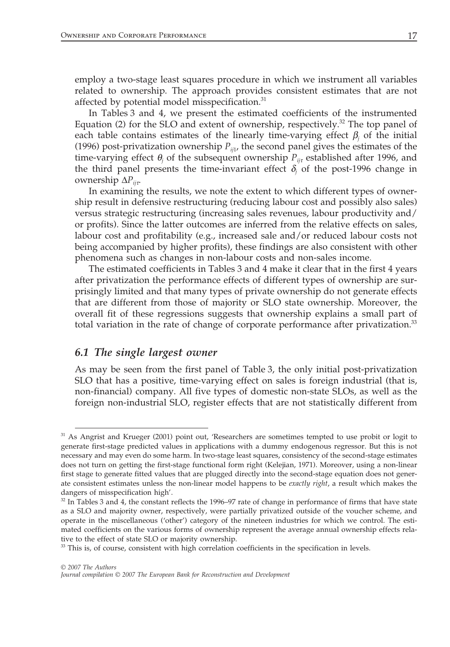employ a two-stage least squares procedure in which we instrument all variables related to ownership. The approach provides consistent estimates that are not affected by potential model misspecification.<sup>31</sup>

In Tables 3 and 4, we present the estimated coefficients of the instrumented Equation (2) for the SLO and extent of ownership, respectively.<sup>32</sup> The top panel of each table contains estimates of the linearly time-varying effect  $\beta_i$  of the initial (1996) post-privatization ownership  $P_{ij1}$ , the second panel gives the estimates of the time-varying effect  $\theta_i$  of the subsequent ownership  $P_{ijt}$  established after 1996, and the third panel presents the time-invariant effect  $\delta_i$  of the post-1996 change in ownership ∆*Pij*τ.

In examining the results, we note the extent to which different types of ownership result in defensive restructuring (reducing labour cost and possibly also sales) versus strategic restructuring (increasing sales revenues, labour productivity and/ or profits). Since the latter outcomes are inferred from the relative effects on sales, labour cost and profitability (e.g., increased sale and/or reduced labour costs not being accompanied by higher profits), these findings are also consistent with other phenomena such as changes in non-labour costs and non-sales income.

The estimated coefficients in Tables 3 and 4 make it clear that in the first 4 years after privatization the performance effects of different types of ownership are surprisingly limited and that many types of private ownership do not generate effects that are different from those of majority or SLO state ownership. Moreover, the overall fit of these regressions suggests that ownership explains a small part of total variation in the rate of change of corporate performance after privatization.<sup>33</sup>

#### *6.1 The single largest owner*

As may be seen from the first panel of Table 3, the only initial post-privatization SLO that has a positive, time-varying effect on sales is foreign industrial (that is, non-financial) company. All five types of domestic non-state SLOs, as well as the foreign non-industrial SLO, register effects that are not statistically different from

<sup>&</sup>lt;sup>31</sup> As Angrist and Krueger (2001) point out, 'Researchers are sometimes tempted to use probit or logit to generate first-stage predicted values in applications with a dummy endogenous regressor. But this is not necessary and may even do some harm. In two-stage least squares, consistency of the second-stage estimates does not turn on getting the first-stage functional form right (Kelejian, 1971). Moreover, using a non-linear first stage to generate fitted values that are plugged directly into the second-stage equation does not generate consistent estimates unless the non-linear model happens to be *exactly right*, a result which makes the dangers of misspecification high'.

<sup>&</sup>lt;sup>32</sup> In Tables 3 and 4, the constant reflects the 1996–97 rate of change in performance of firms that have state as a SLO and majority owner, respectively, were partially privatized outside of the voucher scheme, and operate in the miscellaneous ('other') category of the nineteen industries for which we control. The estimated coefficients on the various forms of ownership represent the average annual ownership effects relative to the effect of state SLO or majority ownership.

<sup>&</sup>lt;sup>33</sup> This is, of course, consistent with high correlation coefficients in the specification in levels.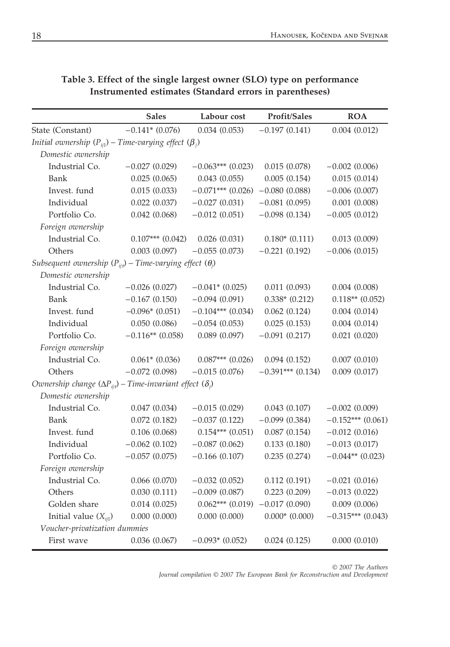| State (Constant)                                                            |                      |                      |                     | <b>ROA</b>          |
|-----------------------------------------------------------------------------|----------------------|----------------------|---------------------|---------------------|
|                                                                             | $-0.141*(0.076)$     | 0.034(0.053)         | $-0.197(0.141)$     | 0.004(0.012)        |
| Initial ownership ( $P_{ii1}$ ) – Time-varying effect ( $\beta_i$ )         |                      |                      |                     |                     |
| Domestic ownership                                                          |                      |                      |                     |                     |
| Industrial Co.                                                              | $-0.027(0.029)$      | $-0.063***$ (0.023)  | 0.015(0.078)        | $-0.002(0.006)$     |
| Bank                                                                        | 0.025(0.065)         | 0.043(0.055)         | 0.005(0.154)        | 0.015(0.014)        |
| Invest. fund                                                                | 0.015(0.033)         | $-0.071***$ (0.026)  | $-0.080(0.088)$     | $-0.006(0.007)$     |
| Individual                                                                  | 0.022(0.037)         | $-0.027(0.031)$      | $-0.081(0.095)$     | 0.001(0.008)        |
| Portfolio Co.                                                               | 0.042(0.068)         | $-0.012(0.051)$      | $-0.098(0.134)$     | $-0.005(0.012)$     |
| Foreign ownership                                                           |                      |                      |                     |                     |
| Industrial Co.                                                              | $0.107***$ $(0.042)$ | 0.026(0.031)         | $0.180*(0.111)$     | 0.013(0.009)        |
| Others                                                                      | 0.003(0.097)         | $-0.055(0.073)$      | $-0.221(0.192)$     | $-0.006(0.015)$     |
| Subsequent ownership $(P_{ii7})$ – Time-varying effect $(\theta_i)$         |                      |                      |                     |                     |
| Domestic ownership                                                          |                      |                      |                     |                     |
| Industrial Co.                                                              | $-0.026(0.027)$      | $-0.041*$ (0.025)    | 0.011(0.093)        | 0.004(0.008)        |
| Bank                                                                        | $-0.167(0.150)$      | $-0.094(0.091)$      | $0.338*(0.212)$     | $0.118**$ (0.052)   |
| Invest. fund                                                                | $-0.096*(0.051)$     | $-0.104***$ (0.034)  | 0.062(0.124)        | 0.004(0.014)        |
| Individual                                                                  | 0.050(0.086)         | $-0.054(0.053)$      | 0.025(0.153)        | 0.004(0.014)        |
| Portfolio Co.                                                               | $-0.116**$ (0.058)   | $0.089$ $(0.097)$    | $-0.091(0.217)$     | 0.021(0.020)        |
| Foreign ownership                                                           |                      |                      |                     |                     |
| Industrial Co.                                                              | $0.061*$ $(0.036)$   | $0.087***$ $(0.026)$ | 0.094(0.152)        | 0.007(0.010)        |
| Others                                                                      | $-0.072(0.098)$      | $-0.015(0.076)$      | $-0.391***$ (0.134) | 0.009(0.017)        |
| Ownership change $(\Delta P_{ii\tau})$ – Time-invariant effect $(\delta_i)$ |                      |                      |                     |                     |
| Domestic ownership                                                          |                      |                      |                     |                     |
| Industrial Co.                                                              | 0.047(0.034)         | $-0.015(0.029)$      | 0.043(0.107)        | $-0.002(0.009)$     |
| Bank                                                                        | 0.072(0.182)         | $-0.037(0.122)$      | $-0.099(0.384)$     | $-0.152***$ (0.061) |
| Invest. fund                                                                | 0.106(0.068)         | $0.154***$ $(0.051)$ | 0.087(0.154)        | $-0.012(0.016)$     |
| Individual                                                                  | $-0.062(0.102)$      | $-0.087(0.062)$      | 0.133(0.180)        | $-0.013(0.017)$     |
| Portfolio Co.                                                               | $-0.057(0.075)$      | $-0.166(0.107)$      | 0.235(0.274)        | $-0.044**$ (0.023)  |
| Foreign ownership                                                           |                      |                      |                     |                     |
| Industrial Co.                                                              | 0.066(0.070)         | $-0.032(0.052)$      | 0.112(0.191)        | $-0.021(0.016)$     |
| Others                                                                      | 0.030(0.111)         | $-0.009(0.087)$      | 0.223(0.209)        | $-0.013(0.022)$     |
| Golden share                                                                | 0.014(0.025)         | $0.062***$ $(0.019)$ | $-0.017(0.090)$     | 0.009(0.006)        |
| Initial value $(X_{ii})$                                                    | 0.000(0.000)         | 0.000(0.000)         | $0.000*$ $(0.000)$  | $-0.315***$ (0.043) |
| Voucher-privatization dummies                                               |                      |                      |                     |                     |
| First wave                                                                  | 0.036(0.067)         | $-0.093*(0.052)$     | 0.024(0.125)        | 0.000(0.010)        |

## **Table 3. Effect of the single largest owner (SLO) type on performance Instrumented estimates (Standard errors in parentheses)**

*© 2007 The Authors Journal compilation © 2007 The European Bank for Reconstruction and Development*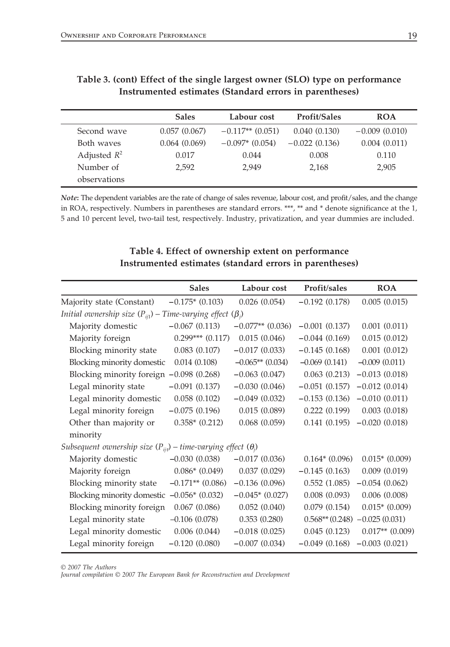|                | <b>Sales</b> | Labour cost        | <b>Profit/Sales</b> | <b>ROA</b>      |
|----------------|--------------|--------------------|---------------------|-----------------|
| Second wave    | 0.057(0.067) | $-0.117**$ (0.051) | 0.040(0.130)        | $-0.009(0.010)$ |
| Both waves     | 0.064(0.069) | $-0.097*(0.054)$   | $-0.022(0.136)$     | 0.004(0.011)    |
| Adjusted $R^2$ | 0.017        | 0.044              | 0.008               | 0.110           |
| Number of      | 2,592        | 2,949              | 2,168               | 2,905           |
| observations   |              |                    |                     |                 |

| Table 3. (cont) Effect of the single largest owner (SLO) type on performance |  |
|------------------------------------------------------------------------------|--|
| Instrumented estimates (Standard errors in parentheses)                      |  |

*Note*: The dependent variables are the rate of change of sales revenue, labour cost, and profit/sales, and the change in ROA, respectively. Numbers in parentheses are standard errors. \*\*\*, \*\* and \* denote significance at the 1, 5 and 10 percent level, two-tail test, respectively. Industry, privatization, and year dummies are included.

## **Sales Labour cost Profit/sales ROA** Majority state (Constant) **–**0.175\* (0.103) 0.026 (0.054) **–**0.192 (0.178) 0.005 (0.015) *Initial ownership size* (P<sub>*ij*1</sub>) − *Time-varying effect* (β<sub>*j*</sub>)</sub> Majority domestic **–**0.067 (0.113) **–**0.077\*\* (0.036) **–**0.001 (0.137) 0.001 (0.011) Majority foreign 0.299\*\*\* (0.117) 0.015 (0.046) **–**0.044 (0.169) 0.015 (0.012) Blocking minority state 0.083 (0.107) **–**0.017 (0.033) **–**0.145 (0.168) 0.001 (0.012) Blocking minority domestic 0.014 (0.108) **–**0.065\*\* (0.034) **–**0.069 (0.141) **–**0.009 (0.011) Blocking minority foreign **–**0.098 (0.268) **–**0.063 (0.047) 0.063 (0.213) **–**0.013 (0.018) Legal minority state **–**0.091 (0.137) **–**0.030 (0.046) **–**0.051 (0.157) **–**0.012 (0.014) Legal minority domestic 0.058 (0.102) **–**0.049 (0.032) **–**0.153 (0.136) **–**0.010 (0.011) Legal minority foreign **–**0.075 (0.196) 0.015 (0.089) 0.222 (0.199) 0.003 (0.018) Other than majority or minority 0.358\* (0.212) 0.068 (0.059) 0.141 (0.195) **–**0.020 (0.018) *Subsequent ownership size* (P<sub>*ijτ</sub>)* − *time-varying effect* ( $θ$ <sub>*j*</sub>)</sub> Majority domestic **–**0.030 (0.038) **–**0.017 (0.036) 0.164\* (0.096) 0.015\* (0.009) Majority foreign 0.086\* (0.049) 0.037 (0.029) **–**0.145 (0.163) 0.009 (0.019) Blocking minority state **–**0.171\*\* (0.086) **–**0.136 (0.096) 0.552 (1.085) **–**0.054 (0.062) Blocking minority domestic **–**0.056\* (0.032) **–**0.045\* (0.027) 0.008 (0.093) 0.006 (0.008) Blocking minority foreign 0.067 (0.086) 0.052 (0.040) 0.079 (0.154) 0.015\* (0.009) Legal minority state  $-0.106 (0.078)$   $0.353 (0.280)$   $0.568** (0.248) -0.025 (0.031)$ Legal minority domestic 0.006 (0.044) **–**0.018 (0.025) 0.045 (0.123) 0.017\*\* (0.009) Legal minority foreign **–**0.120 (0.080) **–**0.007 (0.034) **–**0.049 (0.168) **–**0.003 (0.021)

#### **Table 4. Effect of ownership extent on performance Instrumented estimates (standard errors in parentheses)**

*© 2007 The Authors*

*Journal compilation © 2007 The European Bank for Reconstruction and Development*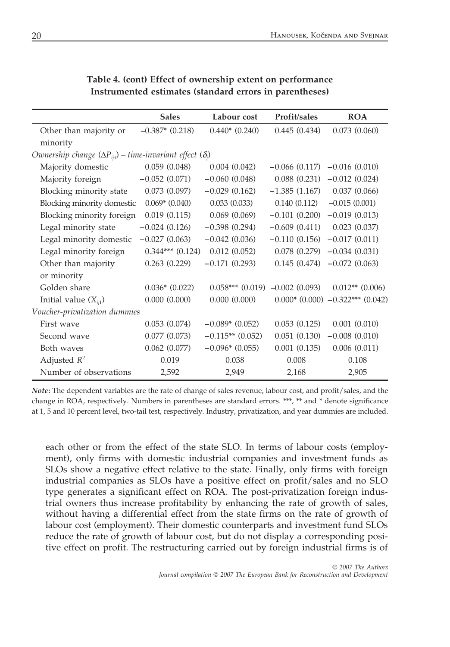|                                                                             | <b>Sales</b>         | Labour cost                             | Profit/sales                      | <b>ROA</b>                           |
|-----------------------------------------------------------------------------|----------------------|-----------------------------------------|-----------------------------------|--------------------------------------|
| Other than majority or                                                      | $-0.387*(0.218)$     | $0.440*(0.240)$                         | 0.445(0.434)                      | 0.073(0.060)                         |
| minority                                                                    |                      |                                         |                                   |                                      |
| Ownership change $(\Delta P_{ij\tau})$ – time-invariant effect $(\delta_i)$ |                      |                                         |                                   |                                      |
| Majority domestic                                                           | 0.059(0.048)         | 0.004(0.042)                            | $-0.066$ (0.117) $-0.016$ (0.010) |                                      |
| Majority foreign                                                            | $-0.052(0.071)$      | $-0.060(0.048)$                         | 0.088(0.231)                      | $-0.012(0.024)$                      |
| Blocking minority state                                                     | 0.073(0.097)         | $-0.029(0.162)$                         | $-1.385(1.167)$                   | 0.037(0.066)                         |
| Blocking minority domestic                                                  | $0.069*(0.040)$      | 0.033(0.033)                            | 0.140(0.112)                      | $-0.015(0.001)$                      |
| Blocking minority foreign                                                   | 0.019(0.115)         | 0.069(0.069)                            | $-0.101(0.200) -0.019(0.013)$     |                                      |
| Legal minority state                                                        | $-0.024(0.126)$      | $-0.398(0.294)$                         | $-0.609(0.411)$                   | 0.023(0.037)                         |
| Legal minority domestic                                                     | $-0.027(0.063)$      | $-0.042(0.036)$                         | $-0.110(0.156)$                   | $-0.017(0.011)$                      |
| Legal minority foreign                                                      | $0.344***$ $(0.124)$ | 0.012(0.052)                            |                                   | $0.078$ $(0.279)$ $-0.034$ $(0.031)$ |
| Other than majority                                                         | 0.263(0.229)         | $-0.171(0.293)$                         |                                   | $0.145(0.474) -0.072(0.063)$         |
| or minority                                                                 |                      |                                         |                                   |                                      |
| Golden share                                                                | $0.036*(0.022)$      | $0.058***$ $(0.019)$ $-0.002$ $(0.093)$ |                                   | $0.012**$ (0.006)                    |
| Initial value $(X_{ii})$                                                    | 0.000(0.000)         | 0.000(0.000)                            |                                   | $0.000*(0.000) -0.322***(0.042)$     |
| Voucher-privatization dummies                                               |                      |                                         |                                   |                                      |
| First wave                                                                  | 0.053(0.074)         | $-0.089*(0.052)$                        | 0.053(0.125)                      | 0.001(0.010)                         |
| Second wave                                                                 | 0.077(0.073)         | $-0.115**$ (0.052)                      | 0.051(0.130)                      | $-0.008(0.010)$                      |
| Both waves                                                                  | 0.062(0.077)         | $-0.096*(0.055)$                        | 0.001(0.135)                      | 0.006(0.011)                         |
| Adjusted $R^2$                                                              | 0.019                | 0.038                                   | 0.008                             | 0.108                                |
| Number of observations                                                      | 2,592                | 2,949                                   | 2,168                             | 2,905                                |

| Table 4. (cont) Effect of ownership extent on performance |  |
|-----------------------------------------------------------|--|
| Instrumented estimates (standard errors in parentheses)   |  |

*Note***:** The dependent variables are the rate of change of sales revenue, labour cost, and profit/sales, and the change in ROA, respectively. Numbers in parentheses are standard errors. \*\*\*, \*\* and \* denote significance at 1, 5 and 10 percent level, two-tail test, respectively. Industry, privatization, and year dummies are included.

each other or from the effect of the state SLO. In terms of labour costs (employment), only firms with domestic industrial companies and investment funds as SLOs show a negative effect relative to the state. Finally, only firms with foreign industrial companies as SLOs have a positive effect on profit/sales and no SLO type generates a significant effect on ROA. The post-privatization foreign industrial owners thus increase profitability by enhancing the rate of growth of sales, without having a differential effect from the state firms on the rate of growth of labour cost (employment). Their domestic counterparts and investment fund SLOs reduce the rate of growth of labour cost, but do not display a corresponding positive effect on profit. The restructuring carried out by foreign industrial firms is of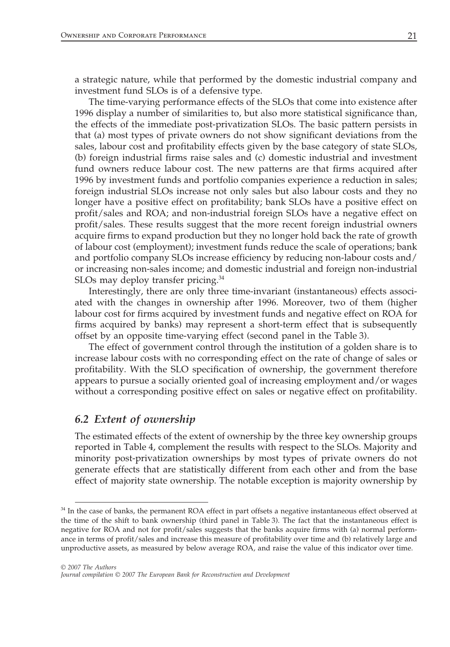a strategic nature, while that performed by the domestic industrial company and investment fund SLOs is of a defensive type.

The time-varying performance effects of the SLOs that come into existence after 1996 display a number of similarities to, but also more statistical significance than, the effects of the immediate post-privatization SLOs. The basic pattern persists in that (a) most types of private owners do not show significant deviations from the sales, labour cost and profitability effects given by the base category of state SLOs, (b) foreign industrial firms raise sales and (c) domestic industrial and investment fund owners reduce labour cost. The new patterns are that firms acquired after 1996 by investment funds and portfolio companies experience a reduction in sales; foreign industrial SLOs increase not only sales but also labour costs and they no longer have a positive effect on profitability; bank SLOs have a positive effect on profit/sales and ROA; and non-industrial foreign SLOs have a negative effect on profit/sales. These results suggest that the more recent foreign industrial owners acquire firms to expand production but they no longer hold back the rate of growth of labour cost (employment); investment funds reduce the scale of operations; bank and portfolio company SLOs increase efficiency by reducing non-labour costs and/ or increasing non-sales income; and domestic industrial and foreign non-industrial SLOs may deploy transfer pricing.<sup>34</sup>

Interestingly, there are only three time-invariant (instantaneous) effects associated with the changes in ownership after 1996. Moreover, two of them (higher labour cost for firms acquired by investment funds and negative effect on ROA for firms acquired by banks) may represent a short-term effect that is subsequently offset by an opposite time-varying effect (second panel in the Table 3).

The effect of government control through the institution of a golden share is to increase labour costs with no corresponding effect on the rate of change of sales or profitability. With the SLO specification of ownership, the government therefore appears to pursue a socially oriented goal of increasing employment and/or wages without a corresponding positive effect on sales or negative effect on profitability.

#### *6.2 Extent of ownership*

The estimated effects of the extent of ownership by the three key ownership groups reported in Table 4, complement the results with respect to the SLOs. Majority and minority post-privatization ownerships by most types of private owners do not generate effects that are statistically different from each other and from the base effect of majority state ownership. The notable exception is majority ownership by

<sup>&</sup>lt;sup>34</sup> In the case of banks, the permanent ROA effect in part offsets a negative instantaneous effect observed at the time of the shift to bank ownership (third panel in Table 3). The fact that the instantaneous effect is negative for ROA and not for profit/sales suggests that the banks acquire firms with (a) normal performance in terms of profit/sales and increase this measure of profitability over time and (b) relatively large and unproductive assets, as measured by below average ROA, and raise the value of this indicator over time.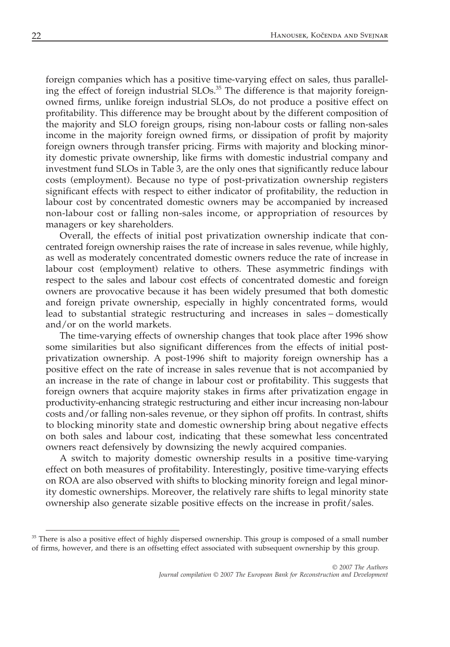foreign companies which has a positive time-varying effect on sales, thus paralleling the effect of foreign industrial SLOs.<sup>35</sup> The difference is that majority foreignowned firms, unlike foreign industrial SLOs, do not produce a positive effect on profitability. This difference may be brought about by the different composition of the majority and SLO foreign groups, rising non-labour costs or falling non-sales income in the majority foreign owned firms, or dissipation of profit by majority foreign owners through transfer pricing. Firms with majority and blocking minority domestic private ownership, like firms with domestic industrial company and investment fund SLOs in Table 3, are the only ones that significantly reduce labour costs (employment). Because no type of post-privatization ownership registers significant effects with respect to either indicator of profitability, the reduction in labour cost by concentrated domestic owners may be accompanied by increased non-labour cost or falling non-sales income, or appropriation of resources by managers or key shareholders.

Overall, the effects of initial post privatization ownership indicate that concentrated foreign ownership raises the rate of increase in sales revenue, while highly, as well as moderately concentrated domestic owners reduce the rate of increase in labour cost (employment) relative to others. These asymmetric findings with respect to the sales and labour cost effects of concentrated domestic and foreign owners are provocative because it has been widely presumed that both domestic and foreign private ownership, especially in highly concentrated forms, would lead to substantial strategic restructuring and increases in sales − domestically and/or on the world markets.

The time-varying effects of ownership changes that took place after 1996 show some similarities but also significant differences from the effects of initial postprivatization ownership. A post-1996 shift to majority foreign ownership has a positive effect on the rate of increase in sales revenue that is not accompanied by an increase in the rate of change in labour cost or profitability. This suggests that foreign owners that acquire majority stakes in firms after privatization engage in productivity-enhancing strategic restructuring and either incur increasing non-labour costs and/or falling non-sales revenue, or they siphon off profits. In contrast, shifts to blocking minority state and domestic ownership bring about negative effects on both sales and labour cost, indicating that these somewhat less concentrated owners react defensively by downsizing the newly acquired companies.

A switch to majority domestic ownership results in a positive time-varying effect on both measures of profitability. Interestingly, positive time-varying effects on ROA are also observed with shifts to blocking minority foreign and legal minority domestic ownerships. Moreover, the relatively rare shifts to legal minority state ownership also generate sizable positive effects on the increase in profit/sales.

<sup>&</sup>lt;sup>35</sup> There is also a positive effect of highly dispersed ownership. This group is composed of a small number of firms, however, and there is an offsetting effect associated with subsequent ownership by this group.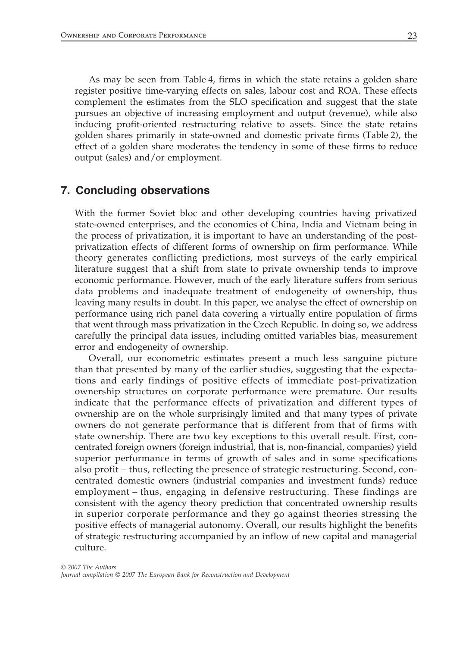As may be seen from Table 4, firms in which the state retains a golden share register positive time-varying effects on sales, labour cost and ROA. These effects complement the estimates from the SLO specification and suggest that the state pursues an objective of increasing employment and output (revenue), while also inducing profit-oriented restructuring relative to assets. Since the state retains golden shares primarily in state-owned and domestic private firms (Table 2), the effect of a golden share moderates the tendency in some of these firms to reduce output (sales) and/or employment.

#### **7. Concluding observations**

With the former Soviet bloc and other developing countries having privatized state-owned enterprises, and the economies of China, India and Vietnam being in the process of privatization, it is important to have an understanding of the postprivatization effects of different forms of ownership on firm performance. While theory generates conflicting predictions, most surveys of the early empirical literature suggest that a shift from state to private ownership tends to improve economic performance. However, much of the early literature suffers from serious data problems and inadequate treatment of endogeneity of ownership, thus leaving many results in doubt. In this paper, we analyse the effect of ownership on performance using rich panel data covering a virtually entire population of firms that went through mass privatization in the Czech Republic. In doing so, we address carefully the principal data issues, including omitted variables bias, measurement error and endogeneity of ownership.

Overall, our econometric estimates present a much less sanguine picture than that presented by many of the earlier studies, suggesting that the expectations and early findings of positive effects of immediate post-privatization ownership structures on corporate performance were premature. Our results indicate that the performance effects of privatization and different types of ownership are on the whole surprisingly limited and that many types of private owners do not generate performance that is different from that of firms with state ownership. There are two key exceptions to this overall result. First, concentrated foreign owners (foreign industrial, that is, non-financial, companies) yield superior performance in terms of growth of sales and in some specifications also profit − thus, reflecting the presence of strategic restructuring. Second, concentrated domestic owners (industrial companies and investment funds) reduce employment – thus, engaging in defensive restructuring. These findings are consistent with the agency theory prediction that concentrated ownership results in superior corporate performance and they go against theories stressing the positive effects of managerial autonomy. Overall, our results highlight the benefits of strategic restructuring accompanied by an inflow of new capital and managerial culture.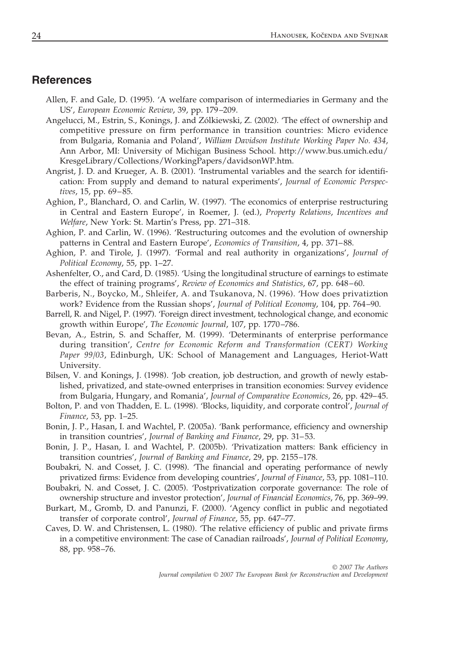#### **References**

- Allen, F. and Gale, D. (1995). 'A welfare comparison of intermediaries in Germany and the US', *European Economic Review*, 39, pp. 179–209.
- Angelucci, M., Estrin, S., Konings, J. and Zólkiewski, Z. (2002). 'The effect of ownership and competitive pressure on firm performance in transition countries: Micro evidence from Bulgaria, Romania and Poland', *William Davidson Institute Working Paper No. 434*, Ann Arbor, MI: University of Michigan Business School. http://www.bus.umich.edu/ KresgeLibrary/Collections/WorkingPapers/davidsonWP.htm.
- Angrist, J. D. and Krueger, A. B. (2001). 'Instrumental variables and the search for identification: From supply and demand to natural experiments', *Journal of Economic Perspectives*, 15, pp. 69–85.
- Aghion, P., Blanchard, O. and Carlin, W. (1997). 'The economics of enterprise restructuring in Central and Eastern Europe', in Roemer, J. (ed.), *Property Relations*, *Incentives and Welfare*, New York: St. Martin's Press, pp. 271–318.
- Aghion, P. and Carlin, W. (1996). 'Restructuring outcomes and the evolution of ownership patterns in Central and Eastern Europe', *Economics of Transition*, 4, pp. 371–88.
- Aghion, P. and Tirole, J. (1997). 'Formal and real authority in organizations', *Journal of Political Economy*, 55, pp. 1–27.
- Ashenfelter, O., and Card, D. (1985). 'Using the longitudinal structure of earnings to estimate the effect of training programs', *Review of Economics and Statistics*, 67, pp. 648–60.
- Barberis, N., Boycko, M., Shleifer, A. and Tsukanova, N. (1996). 'How does privatiztion work? Evidence from the Russian shops', *Journal of Political Economy*, 104, pp. 764–90.
- Barrell, R. and Nigel, P. (1997). 'Foreign direct investment, technological change, and economic growth within Europe', *The Economic Journal*, 107, pp. 1770–786.
- Bevan, A., Estrin, S. and Schaffer, M. (1999). 'Determinants of enterprise performance during transition', *Centre for Economic Reform and Transformation (CERT) Working Paper 99/03*, Edinburgh, UK: School of Management and Languages, Heriot-Watt University.
- Bilsen, V. and Konings, J. (1998). 'Job creation, job destruction, and growth of newly established, privatized, and state-owned enterprises in transition economies: Survey evidence from Bulgaria, Hungary, and Romania', *Journal of Comparative Economics*, 26, pp. 429–45.
- Bolton, P. and von Thadden, E. L. (1998). 'Blocks, liquidity, and corporate control', *Journal of Finance*, 53, pp. 1–25.
- Bonin, J. P., Hasan, I. and Wachtel, P. (2005a). 'Bank performance, efficiency and ownership in transition countries', *Journal of Banking and Finance*, 29, pp. 31–53.
- Bonin, J. P., Hasan, I. and Wachtel, P. (2005b). 'Privatization matters: Bank efficiency in transition countries', *Journal of Banking and Finance*, 29, pp. 2155–178.
- Boubakri, N. and Cosset, J. C. (1998). 'The financial and operating performance of newly privatized firms: Evidence from developing countries', *Journal of Finance*, 53, pp. 1081–110.
- Boubakri, N. and Cosset, J. C. (2005). 'Postprivatization corporate governance: The role of ownership structure and investor protection', *Journal of Financial Economics*, 76, pp. 369–99.
- Burkart, M., Gromb, D. and Panunzi, F. (2000). 'Agency conflict in public and negotiated transfer of corporate control', *Journal of Finance*, 55, pp. 647–77.
- Caves, D. W. and Christensen, L. (1980). 'The relative efficiency of public and private firms in a competitive environment: The case of Canadian railroads', *Journal of Political Economy*, 88, pp. 958–76.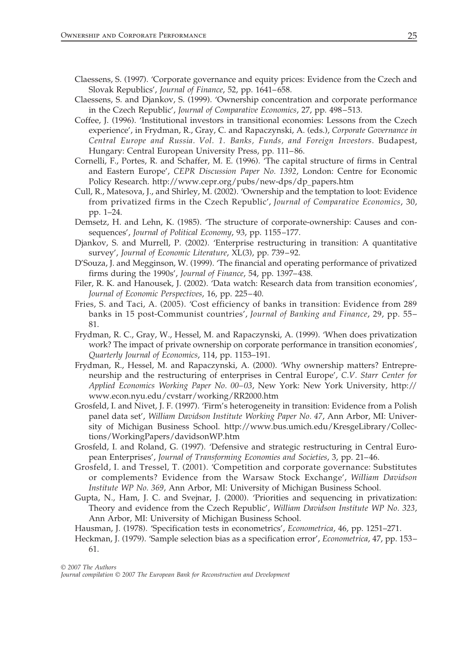- Claessens, S. (1997). 'Corporate governance and equity prices: Evidence from the Czech and Slovak Republics', *Journal of Finance*, 52, pp. 1641–658.
- Claessens, S. and Djankov, S. (1999). 'Ownership concentration and corporate performance in the Czech Republic', *Journal of Comparative Economics*, 27, pp. 498–513.
- Coffee, J. (1996). 'Institutional investors in transitional economies: Lessons from the Czech experience', in Frydman, R., Gray, C. and Rapaczynski, A. (eds.), *Corporate Governance in Central Europe and Russia. Vol. 1. Banks, Funds, and Foreign Investors.* Budapest, Hungary: Central European University Press, pp. 111–86.
- Cornelli, F., Portes, R. and Schaffer, M. E. (1996). 'The capital structure of firms in Central and Eastern Europe', *CEPR Discussion Paper No. 1392*, London: Centre for Economic Policy Research. http://www.cepr.org/pubs/new-dps/dp\_papers.htm
- Cull, R., Matesova, J., and Shirley, M. (2002). 'Ownership and the temptation to loot: Evidence from privatized firms in the Czech Republic', *Journal of Comparative Economics*, 30, pp. 1–24.
- Demsetz, H. and Lehn, K. (1985). 'The structure of corporate-ownership: Causes and consequences', *Journal of Political Economy*, 93, pp. 1155–177.
- Djankov, S. and Murrell, P. (2002). 'Enterprise restructuring in transition: A quantitative survey', *Journal of Economic Literature*, XL(3), pp. 739–92.
- D'Souza, J. and Megginson, W. (1999). 'The financial and operating performance of privatized firms during the 1990s', *Journal of Finance*, 54, pp. 1397–438.
- Filer, R. K. and Hanousek, J. (2002). 'Data watch: Research data from transition economies', *Journal of Economic Perspectives*, 16, pp. 225–40.
- Fries, S. and Taci, A. (2005). 'Cost efficiency of banks in transition: Evidence from 289 banks in 15 post-Communist countries', *Journal of Banking and Finance*, 29, pp. 55– 81.
- Frydman, R. C., Gray, W., Hessel, M. and Rapaczynski, A. (1999). 'When does privatization work? The impact of private ownership on corporate performance in transition economies', *Quarterly Journal of Economics*, 114, pp. 1153–191.
- Frydman, R., Hessel, M. and Rapaczynski, A. (2000). 'Why ownership matters? Entrepreneurship and the restructuring of enterprises in Central Europe', *C.V. Starr Center for Applied Economics Working Paper No. 00–03*, New York: New York University, http:// www.econ.nyu.edu/cvstarr/working/RR2000.htm
- Grosfeld, I. and Nivet, J. F. (1997). 'Firm's heterogeneity in transition: Evidence from a Polish panel data set', *William Davidson Institute Working Paper No. 47*, Ann Arbor, MI: University of Michigan Business School. http://www.bus.umich.edu/KresgeLibrary/Collections/WorkingPapers/davidsonWP.htm
- Grosfeld, I. and Roland, G. (1997). 'Defensive and strategic restructuring in Central European Enterprises', *Journal of Transforming Economies and Societies*, 3, pp. 21–46.
- Grosfeld, I. and Tressel, T. (2001). 'Competition and corporate governance: Substitutes or complements? Evidence from the Warsaw Stock Exchange', *William Davidson Institute WP No. 369*, Ann Arbor, MI: University of Michigan Business School.
- Gupta, N., Ham, J. C. and Svejnar, J. (2000). 'Priorities and sequencing in privatization: Theory and evidence from the Czech Republic', *William Davidson Institute WP No. 323*, Ann Arbor, MI: University of Michigan Business School.
- Hausman, J. (1978). 'Specification tests in econometrics', *Econometrica*, 46, pp. 1251–271.
- Heckman, J. (1979). 'Sample selection bias as a specification error', *Econometrica*, 47, pp. 153– 61.

*© 2007 The Authors Journal compilation © 2007 The European Bank for Reconstruction and Development*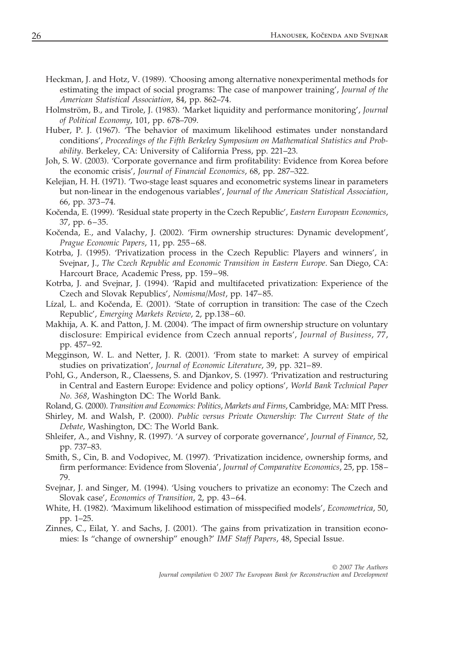- Heckman, J. and Hotz, V. (1989). 'Choosing among alternative nonexperimental methods for estimating the impact of social programs: The case of manpower training', *Journal of the American Statistical Association*, 84, pp. 862–74.
- Holmström, B., and Tirole, J. (1983). 'Market liquidity and performance monitoring', *Journal of Political Economy*, 101, pp. 678–709.
- Huber, P. J. (1967). 'The behavior of maximum likelihood estimates under nonstandard conditions', *Proceedings of the Fifth Berkeley Symposium on Mathematical Statistics and Probability*. Berkeley, CA: University of California Press, pp. 221–23.
- Joh, S. W. (2003). 'Corporate governance and firm profitability: Evidence from Korea before the economic crisis', *Journal of Financial Economics*, 68, pp. 287–322.
- Kelejian, H. H. (1971). 'Two-stage least squares and econometric systems linear in parameters but non-linear in the endogenous variables', *Journal of the American Statistical Association*, 66, pp. 373–74.
- Kocenda, E. (1999). 'Residual state property in the Czech Republic', *Eastern European Economics*, 37, pp. 6–35.
- Kocenda, E., and Valachy, J. (2002). 'Firm ownership structures: Dynamic development', *Prague Economic Papers*, 11, pp. 255–68.
- Kotrba, J. (1995). 'Privatization process in the Czech Republic: Players and winners', in Svejnar, J., *The Czech Republic and Economic Transition in Eastern Europe*. San Diego, CA: Harcourt Brace, Academic Press, pp. 159–98.
- Kotrba, J. and Svejnar, J. (1994). 'Rapid and multifaceted privatization: Experience of the Czech and Slovak Republics', *Nomisma/Most*, pp. 147–85.
- Lízal, L. and Kocenda, E. (2001). 'State of corruption in transition: The case of the Czech Republic', *Emerging Markets Review*, 2, pp.138–60.
- Makhija, A. K. and Patton, J. M. (2004). 'The impact of firm ownership structure on voluntary disclosure: Empirical evidence from Czech annual reports', *Journal of Business*, 77, pp. 457–92.
- Megginson, W. L. and Netter, J. R. (2001). 'From state to market: A survey of empirical studies on privatization', *Journal of Economic Literature*, 39, pp. 321–89.
- Pohl, G., Anderson, R., Claessens, S. and Djankov, S. (1997). 'Privatization and restructuring in Central and Eastern Europe: Evidence and policy options', *World Bank Technical Paper No. 368*, Washington DC: The World Bank.
- Roland, G. (2000). *Transition and Economics: Politics*, *Markets and Firms*, Cambridge, MA: MIT Press.
- Shirley, M. and Walsh, P. (2000). *Public versus Private Ownership: The Current State of the Debate*, Washington, DC: The World Bank.
- Shleifer, A., and Vishny, R. (1997). 'A survey of corporate governance', *Journal of Finance*, 52, pp. 737–83.
- Smith, S., Cin, B. and Vodopivec, M. (1997). 'Privatization incidence, ownership forms, and firm performance: Evidence from Slovenia', *Journal of Comparative Economics*, 25, pp. 158– 79.
- Svejnar, J. and Singer, M. (1994). 'Using vouchers to privatize an economy: The Czech and Slovak case', *Economics of Transition*, 2, pp. 43–64.
- White, H. (1982). 'Maximum likelihood estimation of misspecified models', *Econometrica*, 50, pp. 1–25.
- Zinnes, C., Eilat, Y. and Sachs, J. (2001). 'The gains from privatization in transition economies: Is "change of ownership" enough?' *IMF Staff Papers*, 48, Special Issue.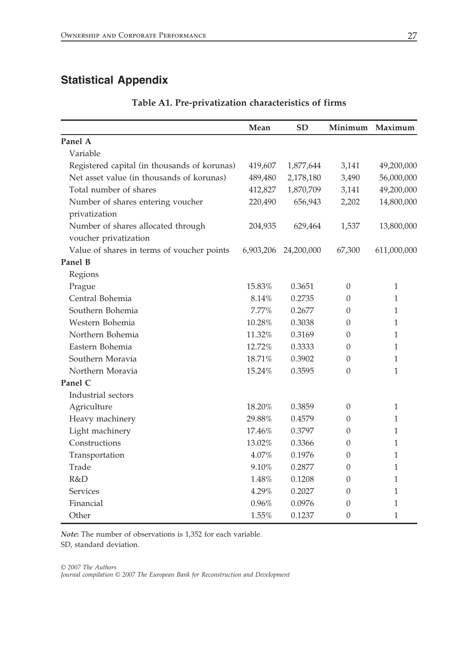## **Statistical Appendix**

|                                                             | Mean      | <b>SD</b>  | Minimum          | Maximum      |
|-------------------------------------------------------------|-----------|------------|------------------|--------------|
| Panel A                                                     |           |            |                  |              |
| Variable                                                    |           |            |                  |              |
| Registered capital (in thousands of korunas)                | 419,607   | 1,877,644  | 3,141            | 49,200,000   |
| Net asset value (in thousands of korunas)                   | 489,480   | 2,178,180  | 3,490            | 56,000,000   |
| Total number of shares                                      | 412,827   | 1,870,709  | 3,141            | 49,200,000   |
| Number of shares entering voucher<br>privatization          | 220,490   | 656,943    | 2,202            | 14,800,000   |
| Number of shares allocated through<br>voucher privatization | 204,935   | 629,464    | 1,537            | 13,800,000   |
| Value of shares in terms of voucher points                  | 6,903,206 | 24,200,000 | 67,300           | 611,000,000  |
| Panel B                                                     |           |            |                  |              |
| Regions                                                     |           |            |                  |              |
| Prague                                                      | 15.83%    | 0.3651     | $\boldsymbol{0}$ | 1            |
| Central Bohemia                                             | $8.14\%$  | 0.2735     | $\theta$         | 1            |
| Southern Bohemia                                            | 7.77%     | 0.2677     | $\theta$         | $\mathbf{1}$ |
| Western Bohemia                                             | 10.28%    | 0.3038     | $\theta$         | $\mathbf{1}$ |
| Northern Bohemia                                            | 11.32%    | 0.3169     | $\theta$         | 1            |
| Eastern Bohemia                                             | 12.72%    | 0.3333     | $\theta$         | 1            |
| Southern Moravia                                            | 18.71%    | 0.3902     | $\theta$         | 1            |
| Northern Moravia                                            | 15.24%    | 0.3595     | $\Omega$         | 1            |
| Panel C                                                     |           |            |                  |              |
| Industrial sectors                                          |           |            |                  |              |
| Agriculture                                                 | 18.20%    | 0.3859     | $\mathbf{0}$     | 1            |
| Heavy machinery                                             | 29.88%    | 0.4579     | $\mathbf{0}$     | $\mathbf{1}$ |
| Light machinery                                             | 17.46%    | 0.3797     | $\theta$         | $\mathbf{1}$ |
| Constructions                                               | 13.02%    | 0.3366     | $\theta$         | 1            |
| Transportation                                              | 4.07%     | 0.1976     | $\theta$         | 1            |
| Trade                                                       | 9.10%     | 0.2877     | $\theta$         | 1            |
| R&D                                                         | 1.48%     | 0.1208     | $\Omega$         | 1            |
| Services                                                    | 4.29%     | 0.2027     | $\theta$         | 1            |
| Financial                                                   | 0.96%     | 0.0976     | $\boldsymbol{0}$ | 1            |
| Other                                                       | 1.55%     | 0.1237     | $\mathbf{0}$     | $\mathbf{1}$ |

#### **Table A1. Pre-privatization characteristics of firms**

*Note***:** The number of observations is 1,352 for each variable. SD, standard deviation.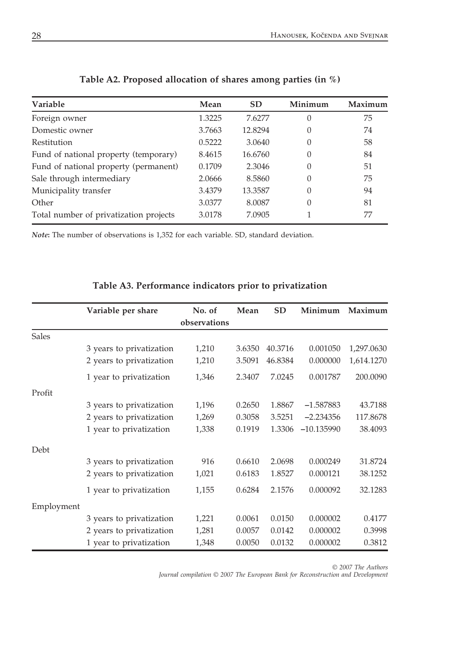| Variable                               | Mean   | <b>SD</b> | Minimum | Maximum |
|----------------------------------------|--------|-----------|---------|---------|
| Foreign owner                          | 1.3225 | 7.6277    | 0       | 75      |
| Domestic owner                         | 3.7663 | 12.8294   | 0       | 74      |
| Restitution                            | 0.5222 | 3.0640    | 0       | 58      |
| Fund of national property (temporary)  | 8.4615 | 16.6760   | 0       | 84      |
| Fund of national property (permanent)  | 0.1709 | 2.3046    | 0       | 51      |
| Sale through intermediary              | 2.0666 | 8.5860    | 0       | 75      |
| Municipality transfer                  | 3.4379 | 13.3587   | 0       | 94      |
| Other                                  | 3.0377 | 8.0087    | 0       | 81      |
| Total number of privatization projects | 3.0178 | 7.0905    |         | 77      |
|                                        |        |           |         |         |

## **Table A2. Proposed allocation of shares among parties (in %)**

*Note***:** The number of observations is 1,352 for each variable. SD, standard deviation.

|              | Variable per share       | No. of       | Mean   | <b>SD</b> | Minimum      | Maximum    |
|--------------|--------------------------|--------------|--------|-----------|--------------|------------|
|              |                          | observations |        |           |              |            |
| <b>Sales</b> |                          |              |        |           |              |            |
|              | 3 years to privatization | 1,210        | 3.6350 | 40.3716   | 0.001050     | 1,297.0630 |
|              | 2 years to privatization | 1,210        | 3.5091 | 46.8384   | 0.000000     | 1,614.1270 |
|              | 1 year to privatization  | 1,346        | 2.3407 | 7.0245    | 0.001787     | 200.0090   |
| Profit       |                          |              |        |           |              |            |
|              | 3 years to privatization | 1,196        | 0.2650 | 1.8867    | $-1.587883$  | 43.7188    |
|              | 2 years to privatization | 1,269        | 0.3058 | 3.5251    | $-2.234356$  | 117.8678   |
|              | 1 year to privatization  | 1,338        | 0.1919 | 1.3306    | $-10.135990$ | 38.4093    |
| Debt         |                          |              |        |           |              |            |
|              | 3 years to privatization | 916          | 0.6610 | 2.0698    | 0.000249     | 31.8724    |
|              | 2 years to privatization | 1,021        | 0.6183 | 1.8527    | 0.000121     | 38.1252    |
|              | 1 year to privatization  | 1,155        | 0.6284 | 2.1576    | 0.000092     | 32.1283    |
| Employment   |                          |              |        |           |              |            |
|              | 3 years to privatization | 1,221        | 0.0061 | 0.0150    | 0.000002     | 0.4177     |
|              | 2 years to privatization | 1,281        | 0.0057 | 0.0142    | 0.000002     | 0.3998     |
|              | 1 year to privatization  | 1,348        | 0.0050 | 0.0132    | 0.000002     | 0.3812     |

#### **Table A3. Performance indicators prior to privatization**

*© 2007 The Authors Journal compilation © 2007 The European Bank for Reconstruction and Development*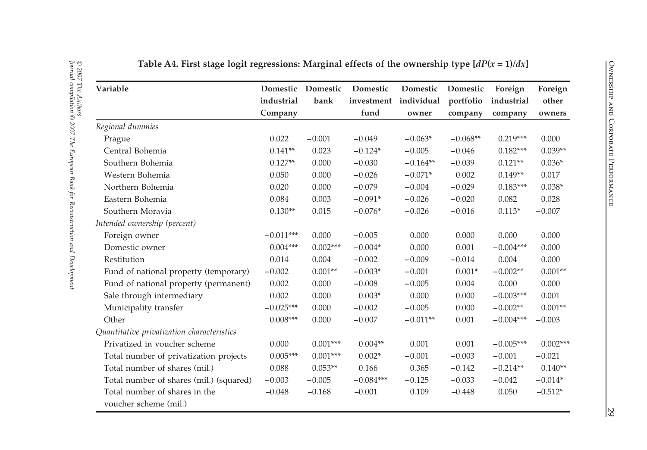| Variable                                               | Domestic<br>industrial<br>Company | Domestic<br>bank | Domestic<br>investment individual<br>fund | Domestic<br>owner | Domestic<br>portfolio<br>company | Foreign<br>industrial<br>company | Foreign<br>other<br>owners |
|--------------------------------------------------------|-----------------------------------|------------------|-------------------------------------------|-------------------|----------------------------------|----------------------------------|----------------------------|
| Regional dummies                                       |                                   |                  |                                           |                   |                                  |                                  |                            |
| Prague                                                 | 0.022                             | $-0.001$         | $-0.049$                                  | $-0.063*$         | $-0.068**$                       | $0.219***$                       | 0.000                      |
| Central Bohemia                                        | $0.141**$                         | 0.023            | $-0.124*$                                 | $-0.005$          | $-0.046$                         | $0.182***$                       | $0.039**$                  |
| Southern Bohemia                                       | $0.127**$                         | 0.000            | $-0.030$                                  | $-0.164**$        | $-0.039$                         | $0.121**$                        | $0.036*$                   |
| Western Bohemia                                        | 0.050                             | 0.000            | $-0.026$                                  | $-0.071*$         | 0.002                            | $0.149**$                        | 0.017                      |
| Northern Bohemia                                       | 0.020                             | 0.000            | $-0.079$                                  | $-0.004$          | $-0.029$                         | $0.183***$                       | $0.038*$                   |
| Eastern Bohemia                                        | 0.084                             | 0.003            | $-0.091*$                                 | $-0.026$          | $-0.020$                         | 0.082                            | 0.028                      |
| Southern Moravia                                       | $0.130**$                         | 0.015            | $-0.076*$                                 | $-0.026$          | $-0.016$                         | $0.113*$                         | $-0.007$                   |
| Intended ownership (percent)                           |                                   |                  |                                           |                   |                                  |                                  |                            |
| Foreign owner                                          | $-0.011***$                       | 0.000            | $-0.005$                                  | 0.000             | 0.000                            | 0.000                            | 0.000                      |
| Domestic owner                                         | $0.004***$                        | $0.002***$       | $-0.004*$                                 | 0.000             | 0.001                            | $-0.004***$                      | 0.000                      |
| Restitution                                            | 0.014                             | 0.004            | $-0.002$                                  | $-0.009$          | $-0.014$                         | 0.004                            | 0.000                      |
| Fund of national property (temporary)                  | $-0.002$                          | $0.001**$        | $-0.003*$                                 | $-0.001$          | $0.001*$                         | $-0.002**$                       | $0.001**$                  |
| Fund of national property (permanent)                  | 0.002                             | 0.000            | $-0.008$                                  | $-0.005$          | 0.004                            | 0.000                            | 0.000                      |
| Sale through intermediary                              | 0.002                             | 0.000            | $0.003*$                                  | 0.000             | 0.000                            | $-0.003***$                      | 0.001                      |
| Municipality transfer                                  | $-0.025***$                       | 0.000            | $-0.002$                                  | $-0.005$          | 0.000                            | $-0.002**$                       | $0.001**$                  |
| Other                                                  | $0.008***$                        | 0.000            | $-0.007$                                  | $-0.011**$        | 0.001                            | $-0.004***$                      | $-0.003$                   |
| Quantitative privatization characteristics             |                                   |                  |                                           |                   |                                  |                                  |                            |
| Privatized in voucher scheme                           | 0.000                             | $0.001***$       | $0.004**$                                 | 0.001             | 0.001                            | $-0.005***$                      | $0.002***$                 |
| Total number of privatization projects                 | $0.005***$                        | $0.001***$       | $0.002*$                                  | $-0.001$          | $-0.003$                         | $-0.001$                         | $-0.021$                   |
| Total number of shares (mil.)                          | 0.088                             | $0.053**$        | 0.166                                     | 0.365             | $-0.142$                         | $-0.214**$                       | $0.140**$                  |
| Total number of shares (mil.) (squared)                | $-0.003$                          | $-0.005$         | $-0.084***$                               | $-0.125$          | $-0.033$                         | $-0.042$                         | $-0.014*$                  |
| Total number of shares in the<br>voucher scheme (mil.) | $-0.048$                          | $-0.168$         | $-0.001$                                  | 0.109             | $-0.448$                         | 0.050                            | $-0.512*$                  |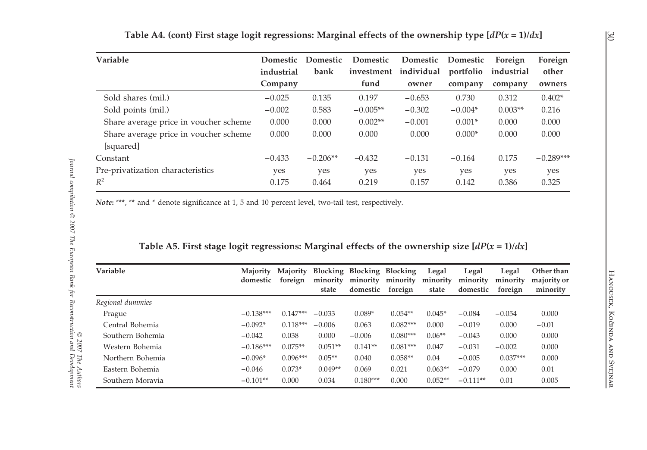| Variable                              | Domestic   | Domestic   | Domestic   | Domestic   | Domestic  | Foreign    | Foreign     |
|---------------------------------------|------------|------------|------------|------------|-----------|------------|-------------|
|                                       | industrial | bank       | investment | individual | portfolio | industrial | other       |
|                                       | Company    |            | fund       | owner      | company   | company    | owners      |
| Sold shares (mil.)                    | $-0.025$   | 0.135      | 0.197      | $-0.653$   | 0.730     | 0.312      | $0.402*$    |
| Sold points (mil.)                    | $-0.002$   | 0.583      | $-0.005**$ | $-0.302$   | $-0.004*$ | $0.003**$  | 0.216       |
| Share average price in voucher scheme | 0.000      | 0.000      | $0.002**$  | $-0.001$   | $0.001*$  | 0.000      | 0.000       |
| Share average price in voucher scheme | 0.000      | 0.000      | 0.000      | 0.000      | $0.000*$  | 0.000      | 0.000       |
| [squared]                             |            |            |            |            |           |            |             |
| Constant                              | $-0.433$   | $-0.206**$ | $-0.432$   | $-0.131$   | $-0.164$  | 0.175      | $-0.289***$ |
| Pre-privatization characteristics     | yes        | yes        | yes        | yes        | yes       | yes        | yes         |
| $R^2$                                 | 0.175      | 0.464      | 0.219      | 0.157      | 0.142     | 0.386      | 0.325       |

Table A4. (cont) First stage logit regressions: Marginal effects of the ownership type  $[dP(x = 1)/dx]$ 

*Note***:** \*\*\*, \*\* and \* denote significance at 1, 5 and 10 percent level, two-tail test, respectively.

|  |  |  | Table A5. First stage logit regressions: Marginal effects of the ownership size $[dP(x = 1)/dx]$ |  |
|--|--|--|--------------------------------------------------------------------------------------------------|--|
|  |  |  |                                                                                                  |  |

| Variable         | <b>Maiority</b><br>domestic | <b>Majority</b><br>foreign | minority<br>state | Blocking Blocking Blocking<br>minority<br>domestic | minority<br>foreign | Legal<br>minority<br>state | Legal<br>minority<br>domestic | Legal<br>minority<br>foreign | Other than<br>majority or<br>minority |
|------------------|-----------------------------|----------------------------|-------------------|----------------------------------------------------|---------------------|----------------------------|-------------------------------|------------------------------|---------------------------------------|
| Regional dummies |                             |                            |                   |                                                    |                     |                            |                               |                              |                                       |
| Prague           | $-0.138***$                 | $0.147***$                 | $-0.033$          | $0.089*$                                           | $0.054**$           | $0.045*$                   | $-0.084$                      | $-0.054$                     | 0.000                                 |
| Central Bohemia  | $-0.092*$                   | $0.118***$                 | $-0.006$          | 0.063                                              | $0.082***$          | 0.000                      | $-0.019$                      | 0.000                        | $-0.01$                               |
| Southern Bohemia | $-0.042$                    | 0.038                      | 0.000             | $-0.006$                                           | $0.080***$          | $0.06**$                   | $-0.043$                      | 0.000                        | 0.000                                 |
| Western Bohemia  | $-0.186***$                 | $0.075**$                  | $0.051**$         | $0.141**$                                          | $0.081***$          | 0.047                      | $-0.031$                      | $-0.002$                     | 0.000                                 |
| Northern Bohemia | $-0.096*$                   | $0.096***$                 | $0.05**$          | 0.040                                              | $0.058**$           | 0.04                       | $-0.005$                      | $0.037***$                   | 0.000                                 |
| Eastern Bohemia  | $-0.046$                    | $0.073*$                   | $0.049**$         | 0.069                                              | 0.021               | $0.063**$                  | $-0.079$                      | 0.000                        | 0.01                                  |
| Southern Moravia | $-0.101**$                  | 0.000                      | 0.034             | $0.180***$                                         | 0.000               | $0.052**$                  | $-0.111**$                    | 0.01                         | 0.005                                 |